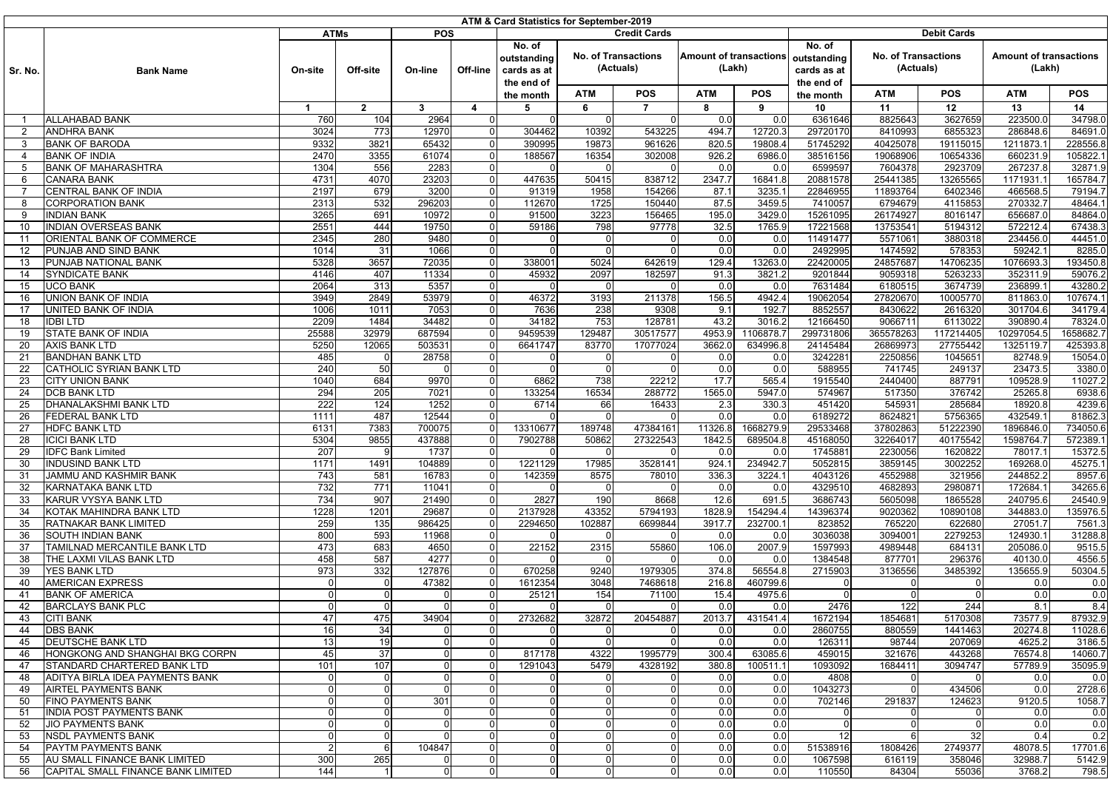| <b>ATMs</b><br><b>POS</b><br><b>Debit Cards</b><br><b>Credit Cards</b><br>No. of<br>No. of<br><b>No. of Transactions</b><br><b>Amount of transactions</b><br><b>No. of Transactions</b><br><b>Amount of transactions</b><br>outstanding<br>outstanding<br>(Actuals)<br>(Lakh)<br>(Actuals)<br>(Lakh)<br>Off-line<br>cards as at<br>cards as at<br>Sr. No.<br><b>Bank Name</b><br>On-site<br>Off-site<br>On-line<br>the end of<br>the end of<br><b>POS</b><br><b>ATM</b><br><b>ATM</b><br><b>POS</b><br><b>ATM</b><br>POS<br><b>ATM</b><br><b>POS</b><br>the month<br>the month<br>$\overline{7}$<br>11<br>12<br>13<br>14<br>$\overline{1}$<br>$\overline{2}$<br>3<br>4<br>5<br>6<br>8<br>9<br>10<br>34798.0<br>2964<br>6361646<br>8825643<br>3627659<br>223500.0<br><b>ALLAHABAD BANK</b><br>760<br>104<br>$\Omega$<br>$\Omega$<br>0.0<br>0.0<br>$\overline{1}$<br>$\Omega$<br>$\Omega$<br><b>ANDHRA BANK</b><br>3024<br>773<br>12970<br>10392<br>543225<br>494.7<br>12720.3<br>29720170<br>8410993<br>6855323<br>286848.6<br>84691.0<br>$\overline{2}$<br>$\Omega$<br>304462<br><b>BANK OF BARODA</b><br>9332<br>3821<br>65432<br>$\Omega$<br>390995<br>19873<br>820.5<br>19808.4<br>51745292<br>40425078<br>1211873.1<br>228556.8<br>3<br>961626<br>19115015<br><b>BANK OF INDIA</b><br>2470<br>3355<br>61074<br>188567<br>16354<br>926.2<br>6986.0<br>38516156<br>19068906<br>10654336<br>660231.9<br>105822.<br>$\Omega$<br>302008<br>4<br><b>BANK OF MAHARASHTRA</b><br>1304<br>556<br>2283<br>6599597<br>7604378<br>2923709<br>267237.8<br>32871.9<br>$\Omega$<br>0.0<br>0.0<br>5<br>4731<br>4070<br>23203<br>50415<br>2347.7<br>16841.8<br>20881578<br>25441385<br>13265565<br>1171931.1<br>165784.7<br><b>CANARA BANK</b><br>$\Omega$<br>447635<br>838712<br>6<br>2197<br>679<br>3200<br>154266<br>87.1<br>3235.1<br>22846955<br>466568.5<br>79194.7<br>CENTRAL BANK OF INDIA<br>U<br>91319<br>1958<br>11893764<br>6402346<br><b>CORPORATION BANK</b><br>2313<br>532<br>296203<br>112670<br>1725<br>150440<br>87.5<br>3459.5<br>7410057<br>6794679<br>4115853<br>270332.7<br>48464.<br>$\Omega$<br>8<br>3265<br>691<br>3223<br>195.0<br>3429.0<br>15261095<br>26174927<br>656687.0<br>84864.0<br>9<br>INDIAN BANK<br>10972<br>$\Omega$<br>91500<br>156465<br>8016147<br><b>INDIAN OVERSEAS BANK</b><br>2551<br>444<br>19750<br>59186<br>97778<br>32.5<br>1765.9<br>17221568<br>13753541<br>5194312<br>572212.4<br>67438.<br>10<br>$\Omega$<br>798<br>44451.0<br>2345<br>280<br>9480<br>11491477<br>5571061<br>3880318<br>234456.0<br>11<br>ORIENTAL BANK OF COMMERCE<br>$\Omega$<br>0.0<br>0.0<br>O<br>PUNJAB AND SIND BANK<br>31<br>1066<br>0.0<br>0.0<br>2492995<br>1474592<br>578353<br>59242.1<br>8285.0<br>12<br>1014<br>$\Omega$<br>PUNJAB NATIONAL BANK<br>5328<br>3657<br>72035<br>129.4<br>13263.0<br>22420005<br>24857687<br>14706235<br>1076693.3<br>193450.8<br>13<br>U<br>338001<br>5024<br>642619<br>4146<br>407<br>11334<br>45932<br>2097<br>182597<br>3821.2<br>9201844<br>9059318<br>5263233<br>352311.9<br>59076.2<br>14<br><b>SYNDICATE BANK</b><br>$\Omega$<br>91.3<br><b>UCO BANK</b><br>2064<br>313<br>5357<br>7631484<br>236899.1<br>43280.2<br>15<br>0<br>0.0<br>0.0<br>6180515<br>3674739<br>3949<br>2849<br>53979<br>3193<br>211378<br>156.5<br>4942.4<br>19062054<br>27820670<br>811863.0<br>107674.<br>16<br>UNION BANK OF INDIA<br>$\Omega$<br>46372<br>10005770<br>UNITED BANK OF INDIA<br>1011<br>7636<br>238<br>192.7<br>8852557<br>301704.6<br>34179.4<br>17<br>1006<br>7053<br>$\Omega$<br>9308<br>9.1<br>8430622<br>2616320<br>2209<br>1484<br>34482<br>34182<br>753<br>128781<br>43.2<br>3016.2<br>12166450<br>9066711<br>6113022<br>390890.4<br>78324.0<br>18<br>IDBI LTD<br>$\Omega$<br>1658682.<br>STATE BANK OF INDIA<br>25588<br>32979<br>687594<br>9459539<br>129487<br>30517577<br>4953.9<br>1106878.7<br>299731806<br>365578263<br>117214405<br>10297054.5<br>19<br>U<br>5250<br>12065<br>503531<br>6641747<br>83770<br>17077024<br>3662.0<br>634996.8<br>24145484<br>26869973<br>27755442<br>1325119.7<br>425393.8<br>20<br><b>AXIS BANK LTD</b><br><b>BANDHAN BANK LTD</b><br>3242281<br>2250856<br>15054.0<br>21<br>485<br>28758<br>0<br>0.0<br>0.0<br>104565<br>82748.9<br>O<br>CATHOLIC SYRIAN BANK LTD<br>240<br>50<br>0.0<br>0.0<br>588955<br>249137<br>23473.5<br>3380.0<br>22<br>$\Omega$<br>741745<br>684<br>9970<br>738<br>22212<br>17.7<br>565.4<br>2440400<br>109528.9<br>11027.2<br>23<br><b>CITY UNION BANK</b><br>1040<br>U<br>6862<br>1915540<br>887791<br>294<br>205<br>7021<br>133254<br>16534<br>288772<br>1565.0<br>5947.0<br>574967<br>517350<br>376742<br>25265.8<br>6938.6<br>24<br><b>DCB BANK LTD</b><br>$\Omega$<br>222<br>124<br>1252<br>330.3<br>451420<br>545931<br>285684<br>18920.8<br>4239.6<br>25<br>DHANALAKSHMI BANK LTD<br>$\Omega$<br>6714<br>66<br>16433<br>2.3<br>1111<br>487<br>12544<br>0.0<br>0.0<br>6189272<br>8624821<br>5756365<br>432549.1<br>81862.<br>26<br>FEDERAL BANK LTD<br>$\Omega$<br><b>HDFC BANK LTD</b><br>6131<br>7383<br>700075<br>47384161<br>11326.8<br>1668279.9<br>29533468<br>37802863<br>51222390<br>1896846.0<br>734050.6<br>27<br>13310677<br>189748<br><b>ICICI BANK LTD</b><br>5304<br>9855<br>437888<br>7902788<br>50862<br>27322543<br>1842.5<br>689504.8<br>45168050<br>32264017<br>40175542<br>1598764.7<br>572389.<br>28<br>207<br>1745881<br>2230056<br>1620822<br>15372.5<br>29<br><b>IDFC Bank Limited</b><br>1737<br>$\Omega$<br>0.0<br>0.0<br>78017.1<br><b>INDUSIND BANK LTD</b><br>1171<br>104889<br>924.1<br>234942.7<br>5052815<br>3002252<br>169268.0<br>45275.<br>30<br>1491<br>$\Omega$<br>1221129<br>17985<br>3528141<br>3859145<br>JAMMU AND KASHMIR BANK<br>743<br>581<br>16783<br>8575<br>336.3<br>3224.1<br>4043126<br>321956<br>244852.2<br>8957.6<br>31<br>$\Omega$<br>142359<br>78010<br>4552988<br>732<br>771<br>11041<br>4329510<br>4682893<br>2980871<br>172684.1<br>34265.6<br>32<br>KARNATAKA BANK LTD<br>$\Omega$<br>0.0<br>0.0<br>KARUR VYSYA BANK LTD<br>734<br>907<br>21490<br>2827<br>190<br>8668<br>12.6<br>691.5<br>3686743<br>5605098<br>1865528<br>240795.6<br>24540.9<br>33<br>$\Omega$<br>1228<br>1201<br>29687<br>2137928<br>43352<br>5794193<br>1828.9<br>154294.4<br>14396374<br>10890108<br>344883.0<br>135976.<br>34<br>KOTAK MAHINDRA BANK LTD<br>U<br>9020362<br>RATNAKAR BANK LIMITED<br>259<br>135<br>986425<br>2294650<br>102887<br>6699844<br>3917.7<br>232700.1<br>823852<br>622680<br>27051.7<br>7561.<br>35<br>765220<br><b>800</b><br>593<br>11968<br>3036038<br>3094001<br>2279253<br>124930.1<br>31288.8<br>36<br>SOUTH INDIAN BANK<br>$\Omega$<br>0.0<br>0.0<br>TAMILNAD MERCANTILE BANK LTD<br>473<br>106.0<br>2007.9<br>205086.0<br>9515.5<br>37<br>683<br>4650<br>$\Omega$<br>22152<br>2315<br>55860<br>1597993<br>4989448<br>684131<br>458<br>587<br>4277<br>1384548<br>296376<br>40130.0<br>4556.5<br>38<br>THE LAXMI VILAS BANK LTD<br>$\Omega$<br>0.0<br>0.0<br>877701<br>YES BANK LTD<br>973<br>332<br>127876<br>9240<br>374.8<br>56554.8<br>2715903<br>3485392<br>135655.9<br>50304.5<br>39<br>$\Omega$<br>670258<br>1979305<br>3136556<br>AMERICAN EXPRESS<br>47382<br>1612354<br>3048<br>216.8<br>460799.6<br>40<br>$\Omega$<br>7468618<br>0.0<br>0.0<br>$\Omega$<br><b>BANK OF AMERICA</b><br>154<br>15.4<br>0.0<br>41<br>0<br>$\Omega$<br>25121<br>71100<br>4975.6<br>0<br>$\overline{0}$<br>0.0<br>8.4<br><b>BARCLAYS BANK PLC</b><br>$\overline{0}$<br>0.0<br>2476<br>122<br>244<br>8.1<br>42<br>$\overline{0}$<br>0.0<br>U<br>47<br>87932.9<br>475<br>34904<br>2732682<br>32872<br>20454887<br>2013.7<br>431541.4<br>1672194<br>1854681<br>5170308<br>73577.9<br>43<br><b>CITI BANK</b><br><b>DBS BANK</b><br>16<br>34<br>2860755<br>880559<br>20274.8<br>11028.6<br>0.0<br>0.0<br>1441463<br>44<br><b>DEUTSCHE BANK LTD</b><br>13<br>0.0<br>0.0<br>207069<br>4625.2<br>45<br>19<br>0<br>$\Omega$<br>126311<br>98744<br>3186.5<br>HONGKONG AND SHANGHAI BKG CORPN<br>45<br>37<br>817178<br>4322<br>1995779<br>300.4<br>63085.6<br>459015<br>321676<br>443268<br>76574.8<br>14060.7<br>$\Omega$<br>$\Omega$<br>46<br>STANDARD CHARTERED BANK LTD<br>101<br>107<br>5479<br>380.8<br>100511.1<br>1093092<br>1684411<br>3094747<br>57789.9<br>35095.9<br>47<br>1291043<br>4328192<br>$\Omega$<br>ADITYA BIRLA IDEA PAYMENTS BANK<br>4808<br>$\Omega$<br>U<br>0.0<br>0.0<br>$\Omega$<br>0.0<br>0.0<br>48<br>$\Omega$<br>2728.6<br>AIRTEL PAYMENTS BANK<br>0.0<br>0.0<br>1043273<br>$\overline{0}$<br>434506<br>0.0<br>49<br>0<br>0<br>FINO PAYMENTS BANK<br>301<br>0.0<br>0.0<br>702146<br>291837<br>124623<br>9120.5<br>1058.7<br>50<br>0<br>0<br>$\Omega$<br><b>INDIA POST PAYMENTS BANK</b><br>$\overline{0}$<br>0<br>0.0<br>0.0<br>51<br>ΩI<br>$\overline{0}$<br>0.0<br>0.0<br>$\Omega$<br>0<br>$\overline{0}$<br>0.0<br>0.0<br>0.0<br>0.0<br><b>JIO PAYMENTS BANK</b><br>$\Omega$<br>$\overline{0}$<br>$\mathbf 0$<br>$\Omega$<br>$\overline{0}$<br>52<br>$\Omega$<br>$\Omega$<br>$\Omega$<br>$\Omega$<br>0.2<br><b>NSDL PAYMENTS BANK</b><br>$\overline{0}$<br>0.0<br>12<br>6<br>32<br>0.4<br>$\Omega$<br>$\overline{0}$<br>0.0<br>53<br>$\Omega$<br>$\Omega$<br>$\overline{0}$<br>$\overline{2}$<br>104847<br>0.0<br>0.0<br>51538916<br>1808426<br>2749377<br>48078.5<br>17701.6<br><b>PAYTM PAYMENTS BANK</b><br>$\Omega$<br>$\Omega$<br>$\mathbf 0$<br>54<br>6<br>AU SMALL FINANCE BANK LIMITED<br>300<br>32988.7<br>55<br>265<br>$\Omega$<br>$\overline{0}$<br>0.0<br>0.0<br>1067598<br>616119<br>358046<br>5142.9<br>$\overline{0}$<br>$\Omega$<br>CAPITAL SMALL FINANCE BANK LIMITED<br>144<br>$\mathbf 0$<br>0.0<br>0.0<br>55036<br>56<br>$\overline{0}$<br>$\overline{0}$<br>$\Omega$<br>110550<br>84304<br>3768.2<br>$\overline{0}$ | ATM & Card Statistics for September-2019 |  |  |  |  |  |  |  |  |  |  |  |  |  |  |       |
|----------------------------------------------------------------------------------------------------------------------------------------------------------------------------------------------------------------------------------------------------------------------------------------------------------------------------------------------------------------------------------------------------------------------------------------------------------------------------------------------------------------------------------------------------------------------------------------------------------------------------------------------------------------------------------------------------------------------------------------------------------------------------------------------------------------------------------------------------------------------------------------------------------------------------------------------------------------------------------------------------------------------------------------------------------------------------------------------------------------------------------------------------------------------------------------------------------------------------------------------------------------------------------------------------------------------------------------------------------------------------------------------------------------------------------------------------------------------------------------------------------------------------------------------------------------------------------------------------------------------------------------------------------------------------------------------------------------------------------------------------------------------------------------------------------------------------------------------------------------------------------------------------------------------------------------------------------------------------------------------------------------------------------------------------------------------------------------------------------------------------------------------------------------------------------------------------------------------------------------------------------------------------------------------------------------------------------------------------------------------------------------------------------------------------------------------------------------------------------------------------------------------------------------------------------------------------------------------------------------------------------------------------------------------------------------------------------------------------------------------------------------------------------------------------------------------------------------------------------------------------------------------------------------------------------------------------------------------------------------------------------------------------------------------------------------------------------------------------------------------------------------------------------------------------------------------------------------------------------------------------------------------------------------------------------------------------------------------------------------------------------------------------------------------------------------------------------------------------------------------------------------------------------------------------------------------------------------------------------------------------------------------------------------------------------------------------------------------------------------------------------------------------------------------------------------------------------------------------------------------------------------------------------------------------------------------------------------------------------------------------------------------------------------------------------------------------------------------------------------------------------------------------------------------------------------------------------------------------------------------------------------------------------------------------------------------------------------------------------------------------------------------------------------------------------------------------------------------------------------------------------------------------------------------------------------------------------------------------------------------------------------------------------------------------------------------------------------------------------------------------------------------------------------------------------------------------------------------------------------------------------------------------------------------------------------------------------------------------------------------------------------------------------------------------------------------------------------------------------------------------------------------------------------------------------------------------------------------------------------------------------------------------------------------------------------------------------------------------------------------------------------------------------------------------------------------------------------------------------------------------------------------------------------------------------------------------------------------------------------------------------------------------------------------------------------------------------------------------------------------------------------------------------------------------------------------------------------------------------------------------------------------------------------------------------------------------------------------------------------------------------------------------------------------------------------------------------------------------------------------------------------------------------------------------------------------------------------------------------------------------------------------------------------------------------------------------------------------------------------------------------------------------------------------------------------------------------------------------------------------------------------------------------------------------------------------------------------------------------------------------------------------------------------------------------------------------------------------------------------------------------------------------------------------------------------------------------------------------------------------------------------------------------------------------------------------------------------------------------------------------------------------------------------------------------------------------------------------------------------------------------------------------------------------------------------------------------------------------------------------------------------------------------------------------------------------------------------------------------------------------------------------------------------------------------------------------------------------------------------------------------------------------------------------------------------------------------------------------------------------------------------------------------------------------------------------------------------------------------------------------------------------------------------------------------------------------------------------------------------------------------------------------------------------------------------------------------------------------------------------------------------------------------------------------------------------------------------------------------------------------------------------------------------------------------------------------------------------------------------------------------------------------------------------------------------------------------------------------------------------------------------------------------------------------------------------------------------------------------------------------------------------------------------------------------------------------------------------------------------------------------------------------------------------------------------------------------------------------------------------------------------------------------------------------------------------------------------------------------------------------------------------------------------------------------------------------------------------------------------------------------------------------------------------------------------------------------------------------------------------------------------------------------------------------------------------------------------------------------------------------------------------------------------------------------------------------------------------------------------------------------------------------------------------------------------------------------------------------------------------------------------------------------------------------------------------------------------------------------------------------------------------------------------------------------------------------------------------------------------------------|------------------------------------------|--|--|--|--|--|--|--|--|--|--|--|--|--|--|-------|
|                                                                                                                                                                                                                                                                                                                                                                                                                                                                                                                                                                                                                                                                                                                                                                                                                                                                                                                                                                                                                                                                                                                                                                                                                                                                                                                                                                                                                                                                                                                                                                                                                                                                                                                                                                                                                                                                                                                                                                                                                                                                                                                                                                                                                                                                                                                                                                                                                                                                                                                                                                                                                                                                                                                                                                                                                                                                                                                                                                                                                                                                                                                                                                                                                                                                                                                                                                                                                                                                                                                                                                                                                                                                                                                                                                                                                                                                                                                                                                                                                                                                                                                                                                                                                                                                                                                                                                                                                                                                                                                                                                                                                                                                                                                                                                                                                                                                                                                                                                                                                                                                                                                                                                                                                                                                                                                                                                                                                                                                                                                                                                                                                                                                                                                                                                                                                                                                                                                                                                                                                                                                                                                                                                                                                                                                                                                                                                                                                                                                                                                                                                                                                                                                                                                                                                                                                                                                                                                                                                                                                                                                                                                                                                                                                                                                                                                                                                                                                                                                                                                                                                                                                                                                                                                                                                                                                                                                                                                                                                                                                                                                                                                                                                                                                                                                                                                                                                                                                                                                                                                                                                                                                                                                                                                                                                                                                                                                                                                                                                                                                                                                                                                                                                                                                                                                                                                                                                                                                                                                                                                                                                                                                                                                                                                                                    |                                          |  |  |  |  |  |  |  |  |  |  |  |  |  |  |       |
|                                                                                                                                                                                                                                                                                                                                                                                                                                                                                                                                                                                                                                                                                                                                                                                                                                                                                                                                                                                                                                                                                                                                                                                                                                                                                                                                                                                                                                                                                                                                                                                                                                                                                                                                                                                                                                                                                                                                                                                                                                                                                                                                                                                                                                                                                                                                                                                                                                                                                                                                                                                                                                                                                                                                                                                                                                                                                                                                                                                                                                                                                                                                                                                                                                                                                                                                                                                                                                                                                                                                                                                                                                                                                                                                                                                                                                                                                                                                                                                                                                                                                                                                                                                                                                                                                                                                                                                                                                                                                                                                                                                                                                                                                                                                                                                                                                                                                                                                                                                                                                                                                                                                                                                                                                                                                                                                                                                                                                                                                                                                                                                                                                                                                                                                                                                                                                                                                                                                                                                                                                                                                                                                                                                                                                                                                                                                                                                                                                                                                                                                                                                                                                                                                                                                                                                                                                                                                                                                                                                                                                                                                                                                                                                                                                                                                                                                                                                                                                                                                                                                                                                                                                                                                                                                                                                                                                                                                                                                                                                                                                                                                                                                                                                                                                                                                                                                                                                                                                                                                                                                                                                                                                                                                                                                                                                                                                                                                                                                                                                                                                                                                                                                                                                                                                                                                                                                                                                                                                                                                                                                                                                                                                                                                                                                                    |                                          |  |  |  |  |  |  |  |  |  |  |  |  |  |  |       |
|                                                                                                                                                                                                                                                                                                                                                                                                                                                                                                                                                                                                                                                                                                                                                                                                                                                                                                                                                                                                                                                                                                                                                                                                                                                                                                                                                                                                                                                                                                                                                                                                                                                                                                                                                                                                                                                                                                                                                                                                                                                                                                                                                                                                                                                                                                                                                                                                                                                                                                                                                                                                                                                                                                                                                                                                                                                                                                                                                                                                                                                                                                                                                                                                                                                                                                                                                                                                                                                                                                                                                                                                                                                                                                                                                                                                                                                                                                                                                                                                                                                                                                                                                                                                                                                                                                                                                                                                                                                                                                                                                                                                                                                                                                                                                                                                                                                                                                                                                                                                                                                                                                                                                                                                                                                                                                                                                                                                                                                                                                                                                                                                                                                                                                                                                                                                                                                                                                                                                                                                                                                                                                                                                                                                                                                                                                                                                                                                                                                                                                                                                                                                                                                                                                                                                                                                                                                                                                                                                                                                                                                                                                                                                                                                                                                                                                                                                                                                                                                                                                                                                                                                                                                                                                                                                                                                                                                                                                                                                                                                                                                                                                                                                                                                                                                                                                                                                                                                                                                                                                                                                                                                                                                                                                                                                                                                                                                                                                                                                                                                                                                                                                                                                                                                                                                                                                                                                                                                                                                                                                                                                                                                                                                                                                                                                    |                                          |  |  |  |  |  |  |  |  |  |  |  |  |  |  |       |
|                                                                                                                                                                                                                                                                                                                                                                                                                                                                                                                                                                                                                                                                                                                                                                                                                                                                                                                                                                                                                                                                                                                                                                                                                                                                                                                                                                                                                                                                                                                                                                                                                                                                                                                                                                                                                                                                                                                                                                                                                                                                                                                                                                                                                                                                                                                                                                                                                                                                                                                                                                                                                                                                                                                                                                                                                                                                                                                                                                                                                                                                                                                                                                                                                                                                                                                                                                                                                                                                                                                                                                                                                                                                                                                                                                                                                                                                                                                                                                                                                                                                                                                                                                                                                                                                                                                                                                                                                                                                                                                                                                                                                                                                                                                                                                                                                                                                                                                                                                                                                                                                                                                                                                                                                                                                                                                                                                                                                                                                                                                                                                                                                                                                                                                                                                                                                                                                                                                                                                                                                                                                                                                                                                                                                                                                                                                                                                                                                                                                                                                                                                                                                                                                                                                                                                                                                                                                                                                                                                                                                                                                                                                                                                                                                                                                                                                                                                                                                                                                                                                                                                                                                                                                                                                                                                                                                                                                                                                                                                                                                                                                                                                                                                                                                                                                                                                                                                                                                                                                                                                                                                                                                                                                                                                                                                                                                                                                                                                                                                                                                                                                                                                                                                                                                                                                                                                                                                                                                                                                                                                                                                                                                                                                                                                                                    |                                          |  |  |  |  |  |  |  |  |  |  |  |  |  |  |       |
|                                                                                                                                                                                                                                                                                                                                                                                                                                                                                                                                                                                                                                                                                                                                                                                                                                                                                                                                                                                                                                                                                                                                                                                                                                                                                                                                                                                                                                                                                                                                                                                                                                                                                                                                                                                                                                                                                                                                                                                                                                                                                                                                                                                                                                                                                                                                                                                                                                                                                                                                                                                                                                                                                                                                                                                                                                                                                                                                                                                                                                                                                                                                                                                                                                                                                                                                                                                                                                                                                                                                                                                                                                                                                                                                                                                                                                                                                                                                                                                                                                                                                                                                                                                                                                                                                                                                                                                                                                                                                                                                                                                                                                                                                                                                                                                                                                                                                                                                                                                                                                                                                                                                                                                                                                                                                                                                                                                                                                                                                                                                                                                                                                                                                                                                                                                                                                                                                                                                                                                                                                                                                                                                                                                                                                                                                                                                                                                                                                                                                                                                                                                                                                                                                                                                                                                                                                                                                                                                                                                                                                                                                                                                                                                                                                                                                                                                                                                                                                                                                                                                                                                                                                                                                                                                                                                                                                                                                                                                                                                                                                                                                                                                                                                                                                                                                                                                                                                                                                                                                                                                                                                                                                                                                                                                                                                                                                                                                                                                                                                                                                                                                                                                                                                                                                                                                                                                                                                                                                                                                                                                                                                                                                                                                                                                                    |                                          |  |  |  |  |  |  |  |  |  |  |  |  |  |  |       |
|                                                                                                                                                                                                                                                                                                                                                                                                                                                                                                                                                                                                                                                                                                                                                                                                                                                                                                                                                                                                                                                                                                                                                                                                                                                                                                                                                                                                                                                                                                                                                                                                                                                                                                                                                                                                                                                                                                                                                                                                                                                                                                                                                                                                                                                                                                                                                                                                                                                                                                                                                                                                                                                                                                                                                                                                                                                                                                                                                                                                                                                                                                                                                                                                                                                                                                                                                                                                                                                                                                                                                                                                                                                                                                                                                                                                                                                                                                                                                                                                                                                                                                                                                                                                                                                                                                                                                                                                                                                                                                                                                                                                                                                                                                                                                                                                                                                                                                                                                                                                                                                                                                                                                                                                                                                                                                                                                                                                                                                                                                                                                                                                                                                                                                                                                                                                                                                                                                                                                                                                                                                                                                                                                                                                                                                                                                                                                                                                                                                                                                                                                                                                                                                                                                                                                                                                                                                                                                                                                                                                                                                                                                                                                                                                                                                                                                                                                                                                                                                                                                                                                                                                                                                                                                                                                                                                                                                                                                                                                                                                                                                                                                                                                                                                                                                                                                                                                                                                                                                                                                                                                                                                                                                                                                                                                                                                                                                                                                                                                                                                                                                                                                                                                                                                                                                                                                                                                                                                                                                                                                                                                                                                                                                                                                                                                    |                                          |  |  |  |  |  |  |  |  |  |  |  |  |  |  |       |
|                                                                                                                                                                                                                                                                                                                                                                                                                                                                                                                                                                                                                                                                                                                                                                                                                                                                                                                                                                                                                                                                                                                                                                                                                                                                                                                                                                                                                                                                                                                                                                                                                                                                                                                                                                                                                                                                                                                                                                                                                                                                                                                                                                                                                                                                                                                                                                                                                                                                                                                                                                                                                                                                                                                                                                                                                                                                                                                                                                                                                                                                                                                                                                                                                                                                                                                                                                                                                                                                                                                                                                                                                                                                                                                                                                                                                                                                                                                                                                                                                                                                                                                                                                                                                                                                                                                                                                                                                                                                                                                                                                                                                                                                                                                                                                                                                                                                                                                                                                                                                                                                                                                                                                                                                                                                                                                                                                                                                                                                                                                                                                                                                                                                                                                                                                                                                                                                                                                                                                                                                                                                                                                                                                                                                                                                                                                                                                                                                                                                                                                                                                                                                                                                                                                                                                                                                                                                                                                                                                                                                                                                                                                                                                                                                                                                                                                                                                                                                                                                                                                                                                                                                                                                                                                                                                                                                                                                                                                                                                                                                                                                                                                                                                                                                                                                                                                                                                                                                                                                                                                                                                                                                                                                                                                                                                                                                                                                                                                                                                                                                                                                                                                                                                                                                                                                                                                                                                                                                                                                                                                                                                                                                                                                                                                                                    |                                          |  |  |  |  |  |  |  |  |  |  |  |  |  |  |       |
|                                                                                                                                                                                                                                                                                                                                                                                                                                                                                                                                                                                                                                                                                                                                                                                                                                                                                                                                                                                                                                                                                                                                                                                                                                                                                                                                                                                                                                                                                                                                                                                                                                                                                                                                                                                                                                                                                                                                                                                                                                                                                                                                                                                                                                                                                                                                                                                                                                                                                                                                                                                                                                                                                                                                                                                                                                                                                                                                                                                                                                                                                                                                                                                                                                                                                                                                                                                                                                                                                                                                                                                                                                                                                                                                                                                                                                                                                                                                                                                                                                                                                                                                                                                                                                                                                                                                                                                                                                                                                                                                                                                                                                                                                                                                                                                                                                                                                                                                                                                                                                                                                                                                                                                                                                                                                                                                                                                                                                                                                                                                                                                                                                                                                                                                                                                                                                                                                                                                                                                                                                                                                                                                                                                                                                                                                                                                                                                                                                                                                                                                                                                                                                                                                                                                                                                                                                                                                                                                                                                                                                                                                                                                                                                                                                                                                                                                                                                                                                                                                                                                                                                                                                                                                                                                                                                                                                                                                                                                                                                                                                                                                                                                                                                                                                                                                                                                                                                                                                                                                                                                                                                                                                                                                                                                                                                                                                                                                                                                                                                                                                                                                                                                                                                                                                                                                                                                                                                                                                                                                                                                                                                                                                                                                                                                                    |                                          |  |  |  |  |  |  |  |  |  |  |  |  |  |  |       |
|                                                                                                                                                                                                                                                                                                                                                                                                                                                                                                                                                                                                                                                                                                                                                                                                                                                                                                                                                                                                                                                                                                                                                                                                                                                                                                                                                                                                                                                                                                                                                                                                                                                                                                                                                                                                                                                                                                                                                                                                                                                                                                                                                                                                                                                                                                                                                                                                                                                                                                                                                                                                                                                                                                                                                                                                                                                                                                                                                                                                                                                                                                                                                                                                                                                                                                                                                                                                                                                                                                                                                                                                                                                                                                                                                                                                                                                                                                                                                                                                                                                                                                                                                                                                                                                                                                                                                                                                                                                                                                                                                                                                                                                                                                                                                                                                                                                                                                                                                                                                                                                                                                                                                                                                                                                                                                                                                                                                                                                                                                                                                                                                                                                                                                                                                                                                                                                                                                                                                                                                                                                                                                                                                                                                                                                                                                                                                                                                                                                                                                                                                                                                                                                                                                                                                                                                                                                                                                                                                                                                                                                                                                                                                                                                                                                                                                                                                                                                                                                                                                                                                                                                                                                                                                                                                                                                                                                                                                                                                                                                                                                                                                                                                                                                                                                                                                                                                                                                                                                                                                                                                                                                                                                                                                                                                                                                                                                                                                                                                                                                                                                                                                                                                                                                                                                                                                                                                                                                                                                                                                                                                                                                                                                                                                                                                    |                                          |  |  |  |  |  |  |  |  |  |  |  |  |  |  |       |
|                                                                                                                                                                                                                                                                                                                                                                                                                                                                                                                                                                                                                                                                                                                                                                                                                                                                                                                                                                                                                                                                                                                                                                                                                                                                                                                                                                                                                                                                                                                                                                                                                                                                                                                                                                                                                                                                                                                                                                                                                                                                                                                                                                                                                                                                                                                                                                                                                                                                                                                                                                                                                                                                                                                                                                                                                                                                                                                                                                                                                                                                                                                                                                                                                                                                                                                                                                                                                                                                                                                                                                                                                                                                                                                                                                                                                                                                                                                                                                                                                                                                                                                                                                                                                                                                                                                                                                                                                                                                                                                                                                                                                                                                                                                                                                                                                                                                                                                                                                                                                                                                                                                                                                                                                                                                                                                                                                                                                                                                                                                                                                                                                                                                                                                                                                                                                                                                                                                                                                                                                                                                                                                                                                                                                                                                                                                                                                                                                                                                                                                                                                                                                                                                                                                                                                                                                                                                                                                                                                                                                                                                                                                                                                                                                                                                                                                                                                                                                                                                                                                                                                                                                                                                                                                                                                                                                                                                                                                                                                                                                                                                                                                                                                                                                                                                                                                                                                                                                                                                                                                                                                                                                                                                                                                                                                                                                                                                                                                                                                                                                                                                                                                                                                                                                                                                                                                                                                                                                                                                                                                                                                                                                                                                                                                                                    |                                          |  |  |  |  |  |  |  |  |  |  |  |  |  |  |       |
|                                                                                                                                                                                                                                                                                                                                                                                                                                                                                                                                                                                                                                                                                                                                                                                                                                                                                                                                                                                                                                                                                                                                                                                                                                                                                                                                                                                                                                                                                                                                                                                                                                                                                                                                                                                                                                                                                                                                                                                                                                                                                                                                                                                                                                                                                                                                                                                                                                                                                                                                                                                                                                                                                                                                                                                                                                                                                                                                                                                                                                                                                                                                                                                                                                                                                                                                                                                                                                                                                                                                                                                                                                                                                                                                                                                                                                                                                                                                                                                                                                                                                                                                                                                                                                                                                                                                                                                                                                                                                                                                                                                                                                                                                                                                                                                                                                                                                                                                                                                                                                                                                                                                                                                                                                                                                                                                                                                                                                                                                                                                                                                                                                                                                                                                                                                                                                                                                                                                                                                                                                                                                                                                                                                                                                                                                                                                                                                                                                                                                                                                                                                                                                                                                                                                                                                                                                                                                                                                                                                                                                                                                                                                                                                                                                                                                                                                                                                                                                                                                                                                                                                                                                                                                                                                                                                                                                                                                                                                                                                                                                                                                                                                                                                                                                                                                                                                                                                                                                                                                                                                                                                                                                                                                                                                                                                                                                                                                                                                                                                                                                                                                                                                                                                                                                                                                                                                                                                                                                                                                                                                                                                                                                                                                                                                                    |                                          |  |  |  |  |  |  |  |  |  |  |  |  |  |  |       |
|                                                                                                                                                                                                                                                                                                                                                                                                                                                                                                                                                                                                                                                                                                                                                                                                                                                                                                                                                                                                                                                                                                                                                                                                                                                                                                                                                                                                                                                                                                                                                                                                                                                                                                                                                                                                                                                                                                                                                                                                                                                                                                                                                                                                                                                                                                                                                                                                                                                                                                                                                                                                                                                                                                                                                                                                                                                                                                                                                                                                                                                                                                                                                                                                                                                                                                                                                                                                                                                                                                                                                                                                                                                                                                                                                                                                                                                                                                                                                                                                                                                                                                                                                                                                                                                                                                                                                                                                                                                                                                                                                                                                                                                                                                                                                                                                                                                                                                                                                                                                                                                                                                                                                                                                                                                                                                                                                                                                                                                                                                                                                                                                                                                                                                                                                                                                                                                                                                                                                                                                                                                                                                                                                                                                                                                                                                                                                                                                                                                                                                                                                                                                                                                                                                                                                                                                                                                                                                                                                                                                                                                                                                                                                                                                                                                                                                                                                                                                                                                                                                                                                                                                                                                                                                                                                                                                                                                                                                                                                                                                                                                                                                                                                                                                                                                                                                                                                                                                                                                                                                                                                                                                                                                                                                                                                                                                                                                                                                                                                                                                                                                                                                                                                                                                                                                                                                                                                                                                                                                                                                                                                                                                                                                                                                                                                    |                                          |  |  |  |  |  |  |  |  |  |  |  |  |  |  |       |
|                                                                                                                                                                                                                                                                                                                                                                                                                                                                                                                                                                                                                                                                                                                                                                                                                                                                                                                                                                                                                                                                                                                                                                                                                                                                                                                                                                                                                                                                                                                                                                                                                                                                                                                                                                                                                                                                                                                                                                                                                                                                                                                                                                                                                                                                                                                                                                                                                                                                                                                                                                                                                                                                                                                                                                                                                                                                                                                                                                                                                                                                                                                                                                                                                                                                                                                                                                                                                                                                                                                                                                                                                                                                                                                                                                                                                                                                                                                                                                                                                                                                                                                                                                                                                                                                                                                                                                                                                                                                                                                                                                                                                                                                                                                                                                                                                                                                                                                                                                                                                                                                                                                                                                                                                                                                                                                                                                                                                                                                                                                                                                                                                                                                                                                                                                                                                                                                                                                                                                                                                                                                                                                                                                                                                                                                                                                                                                                                                                                                                                                                                                                                                                                                                                                                                                                                                                                                                                                                                                                                                                                                                                                                                                                                                                                                                                                                                                                                                                                                                                                                                                                                                                                                                                                                                                                                                                                                                                                                                                                                                                                                                                                                                                                                                                                                                                                                                                                                                                                                                                                                                                                                                                                                                                                                                                                                                                                                                                                                                                                                                                                                                                                                                                                                                                                                                                                                                                                                                                                                                                                                                                                                                                                                                                                                                    |                                          |  |  |  |  |  |  |  |  |  |  |  |  |  |  |       |
|                                                                                                                                                                                                                                                                                                                                                                                                                                                                                                                                                                                                                                                                                                                                                                                                                                                                                                                                                                                                                                                                                                                                                                                                                                                                                                                                                                                                                                                                                                                                                                                                                                                                                                                                                                                                                                                                                                                                                                                                                                                                                                                                                                                                                                                                                                                                                                                                                                                                                                                                                                                                                                                                                                                                                                                                                                                                                                                                                                                                                                                                                                                                                                                                                                                                                                                                                                                                                                                                                                                                                                                                                                                                                                                                                                                                                                                                                                                                                                                                                                                                                                                                                                                                                                                                                                                                                                                                                                                                                                                                                                                                                                                                                                                                                                                                                                                                                                                                                                                                                                                                                                                                                                                                                                                                                                                                                                                                                                                                                                                                                                                                                                                                                                                                                                                                                                                                                                                                                                                                                                                                                                                                                                                                                                                                                                                                                                                                                                                                                                                                                                                                                                                                                                                                                                                                                                                                                                                                                                                                                                                                                                                                                                                                                                                                                                                                                                                                                                                                                                                                                                                                                                                                                                                                                                                                                                                                                                                                                                                                                                                                                                                                                                                                                                                                                                                                                                                                                                                                                                                                                                                                                                                                                                                                                                                                                                                                                                                                                                                                                                                                                                                                                                                                                                                                                                                                                                                                                                                                                                                                                                                                                                                                                                                                                    |                                          |  |  |  |  |  |  |  |  |  |  |  |  |  |  |       |
|                                                                                                                                                                                                                                                                                                                                                                                                                                                                                                                                                                                                                                                                                                                                                                                                                                                                                                                                                                                                                                                                                                                                                                                                                                                                                                                                                                                                                                                                                                                                                                                                                                                                                                                                                                                                                                                                                                                                                                                                                                                                                                                                                                                                                                                                                                                                                                                                                                                                                                                                                                                                                                                                                                                                                                                                                                                                                                                                                                                                                                                                                                                                                                                                                                                                                                                                                                                                                                                                                                                                                                                                                                                                                                                                                                                                                                                                                                                                                                                                                                                                                                                                                                                                                                                                                                                                                                                                                                                                                                                                                                                                                                                                                                                                                                                                                                                                                                                                                                                                                                                                                                                                                                                                                                                                                                                                                                                                                                                                                                                                                                                                                                                                                                                                                                                                                                                                                                                                                                                                                                                                                                                                                                                                                                                                                                                                                                                                                                                                                                                                                                                                                                                                                                                                                                                                                                                                                                                                                                                                                                                                                                                                                                                                                                                                                                                                                                                                                                                                                                                                                                                                                                                                                                                                                                                                                                                                                                                                                                                                                                                                                                                                                                                                                                                                                                                                                                                                                                                                                                                                                                                                                                                                                                                                                                                                                                                                                                                                                                                                                                                                                                                                                                                                                                                                                                                                                                                                                                                                                                                                                                                                                                                                                                                                                    |                                          |  |  |  |  |  |  |  |  |  |  |  |  |  |  |       |
|                                                                                                                                                                                                                                                                                                                                                                                                                                                                                                                                                                                                                                                                                                                                                                                                                                                                                                                                                                                                                                                                                                                                                                                                                                                                                                                                                                                                                                                                                                                                                                                                                                                                                                                                                                                                                                                                                                                                                                                                                                                                                                                                                                                                                                                                                                                                                                                                                                                                                                                                                                                                                                                                                                                                                                                                                                                                                                                                                                                                                                                                                                                                                                                                                                                                                                                                                                                                                                                                                                                                                                                                                                                                                                                                                                                                                                                                                                                                                                                                                                                                                                                                                                                                                                                                                                                                                                                                                                                                                                                                                                                                                                                                                                                                                                                                                                                                                                                                                                                                                                                                                                                                                                                                                                                                                                                                                                                                                                                                                                                                                                                                                                                                                                                                                                                                                                                                                                                                                                                                                                                                                                                                                                                                                                                                                                                                                                                                                                                                                                                                                                                                                                                                                                                                                                                                                                                                                                                                                                                                                                                                                                                                                                                                                                                                                                                                                                                                                                                                                                                                                                                                                                                                                                                                                                                                                                                                                                                                                                                                                                                                                                                                                                                                                                                                                                                                                                                                                                                                                                                                                                                                                                                                                                                                                                                                                                                                                                                                                                                                                                                                                                                                                                                                                                                                                                                                                                                                                                                                                                                                                                                                                                                                                                                                                    |                                          |  |  |  |  |  |  |  |  |  |  |  |  |  |  |       |
|                                                                                                                                                                                                                                                                                                                                                                                                                                                                                                                                                                                                                                                                                                                                                                                                                                                                                                                                                                                                                                                                                                                                                                                                                                                                                                                                                                                                                                                                                                                                                                                                                                                                                                                                                                                                                                                                                                                                                                                                                                                                                                                                                                                                                                                                                                                                                                                                                                                                                                                                                                                                                                                                                                                                                                                                                                                                                                                                                                                                                                                                                                                                                                                                                                                                                                                                                                                                                                                                                                                                                                                                                                                                                                                                                                                                                                                                                                                                                                                                                                                                                                                                                                                                                                                                                                                                                                                                                                                                                                                                                                                                                                                                                                                                                                                                                                                                                                                                                                                                                                                                                                                                                                                                                                                                                                                                                                                                                                                                                                                                                                                                                                                                                                                                                                                                                                                                                                                                                                                                                                                                                                                                                                                                                                                                                                                                                                                                                                                                                                                                                                                                                                                                                                                                                                                                                                                                                                                                                                                                                                                                                                                                                                                                                                                                                                                                                                                                                                                                                                                                                                                                                                                                                                                                                                                                                                                                                                                                                                                                                                                                                                                                                                                                                                                                                                                                                                                                                                                                                                                                                                                                                                                                                                                                                                                                                                                                                                                                                                                                                                                                                                                                                                                                                                                                                                                                                                                                                                                                                                                                                                                                                                                                                                                                                    |                                          |  |  |  |  |  |  |  |  |  |  |  |  |  |  |       |
|                                                                                                                                                                                                                                                                                                                                                                                                                                                                                                                                                                                                                                                                                                                                                                                                                                                                                                                                                                                                                                                                                                                                                                                                                                                                                                                                                                                                                                                                                                                                                                                                                                                                                                                                                                                                                                                                                                                                                                                                                                                                                                                                                                                                                                                                                                                                                                                                                                                                                                                                                                                                                                                                                                                                                                                                                                                                                                                                                                                                                                                                                                                                                                                                                                                                                                                                                                                                                                                                                                                                                                                                                                                                                                                                                                                                                                                                                                                                                                                                                                                                                                                                                                                                                                                                                                                                                                                                                                                                                                                                                                                                                                                                                                                                                                                                                                                                                                                                                                                                                                                                                                                                                                                                                                                                                                                                                                                                                                                                                                                                                                                                                                                                                                                                                                                                                                                                                                                                                                                                                                                                                                                                                                                                                                                                                                                                                                                                                                                                                                                                                                                                                                                                                                                                                                                                                                                                                                                                                                                                                                                                                                                                                                                                                                                                                                                                                                                                                                                                                                                                                                                                                                                                                                                                                                                                                                                                                                                                                                                                                                                                                                                                                                                                                                                                                                                                                                                                                                                                                                                                                                                                                                                                                                                                                                                                                                                                                                                                                                                                                                                                                                                                                                                                                                                                                                                                                                                                                                                                                                                                                                                                                                                                                                                                                    |                                          |  |  |  |  |  |  |  |  |  |  |  |  |  |  |       |
|                                                                                                                                                                                                                                                                                                                                                                                                                                                                                                                                                                                                                                                                                                                                                                                                                                                                                                                                                                                                                                                                                                                                                                                                                                                                                                                                                                                                                                                                                                                                                                                                                                                                                                                                                                                                                                                                                                                                                                                                                                                                                                                                                                                                                                                                                                                                                                                                                                                                                                                                                                                                                                                                                                                                                                                                                                                                                                                                                                                                                                                                                                                                                                                                                                                                                                                                                                                                                                                                                                                                                                                                                                                                                                                                                                                                                                                                                                                                                                                                                                                                                                                                                                                                                                                                                                                                                                                                                                                                                                                                                                                                                                                                                                                                                                                                                                                                                                                                                                                                                                                                                                                                                                                                                                                                                                                                                                                                                                                                                                                                                                                                                                                                                                                                                                                                                                                                                                                                                                                                                                                                                                                                                                                                                                                                                                                                                                                                                                                                                                                                                                                                                                                                                                                                                                                                                                                                                                                                                                                                                                                                                                                                                                                                                                                                                                                                                                                                                                                                                                                                                                                                                                                                                                                                                                                                                                                                                                                                                                                                                                                                                                                                                                                                                                                                                                                                                                                                                                                                                                                                                                                                                                                                                                                                                                                                                                                                                                                                                                                                                                                                                                                                                                                                                                                                                                                                                                                                                                                                                                                                                                                                                                                                                                                                                    |                                          |  |  |  |  |  |  |  |  |  |  |  |  |  |  |       |
|                                                                                                                                                                                                                                                                                                                                                                                                                                                                                                                                                                                                                                                                                                                                                                                                                                                                                                                                                                                                                                                                                                                                                                                                                                                                                                                                                                                                                                                                                                                                                                                                                                                                                                                                                                                                                                                                                                                                                                                                                                                                                                                                                                                                                                                                                                                                                                                                                                                                                                                                                                                                                                                                                                                                                                                                                                                                                                                                                                                                                                                                                                                                                                                                                                                                                                                                                                                                                                                                                                                                                                                                                                                                                                                                                                                                                                                                                                                                                                                                                                                                                                                                                                                                                                                                                                                                                                                                                                                                                                                                                                                                                                                                                                                                                                                                                                                                                                                                                                                                                                                                                                                                                                                                                                                                                                                                                                                                                                                                                                                                                                                                                                                                                                                                                                                                                                                                                                                                                                                                                                                                                                                                                                                                                                                                                                                                                                                                                                                                                                                                                                                                                                                                                                                                                                                                                                                                                                                                                                                                                                                                                                                                                                                                                                                                                                                                                                                                                                                                                                                                                                                                                                                                                                                                                                                                                                                                                                                                                                                                                                                                                                                                                                                                                                                                                                                                                                                                                                                                                                                                                                                                                                                                                                                                                                                                                                                                                                                                                                                                                                                                                                                                                                                                                                                                                                                                                                                                                                                                                                                                                                                                                                                                                                                                                    |                                          |  |  |  |  |  |  |  |  |  |  |  |  |  |  |       |
|                                                                                                                                                                                                                                                                                                                                                                                                                                                                                                                                                                                                                                                                                                                                                                                                                                                                                                                                                                                                                                                                                                                                                                                                                                                                                                                                                                                                                                                                                                                                                                                                                                                                                                                                                                                                                                                                                                                                                                                                                                                                                                                                                                                                                                                                                                                                                                                                                                                                                                                                                                                                                                                                                                                                                                                                                                                                                                                                                                                                                                                                                                                                                                                                                                                                                                                                                                                                                                                                                                                                                                                                                                                                                                                                                                                                                                                                                                                                                                                                                                                                                                                                                                                                                                                                                                                                                                                                                                                                                                                                                                                                                                                                                                                                                                                                                                                                                                                                                                                                                                                                                                                                                                                                                                                                                                                                                                                                                                                                                                                                                                                                                                                                                                                                                                                                                                                                                                                                                                                                                                                                                                                                                                                                                                                                                                                                                                                                                                                                                                                                                                                                                                                                                                                                                                                                                                                                                                                                                                                                                                                                                                                                                                                                                                                                                                                                                                                                                                                                                                                                                                                                                                                                                                                                                                                                                                                                                                                                                                                                                                                                                                                                                                                                                                                                                                                                                                                                                                                                                                                                                                                                                                                                                                                                                                                                                                                                                                                                                                                                                                                                                                                                                                                                                                                                                                                                                                                                                                                                                                                                                                                                                                                                                                                                                    |                                          |  |  |  |  |  |  |  |  |  |  |  |  |  |  |       |
|                                                                                                                                                                                                                                                                                                                                                                                                                                                                                                                                                                                                                                                                                                                                                                                                                                                                                                                                                                                                                                                                                                                                                                                                                                                                                                                                                                                                                                                                                                                                                                                                                                                                                                                                                                                                                                                                                                                                                                                                                                                                                                                                                                                                                                                                                                                                                                                                                                                                                                                                                                                                                                                                                                                                                                                                                                                                                                                                                                                                                                                                                                                                                                                                                                                                                                                                                                                                                                                                                                                                                                                                                                                                                                                                                                                                                                                                                                                                                                                                                                                                                                                                                                                                                                                                                                                                                                                                                                                                                                                                                                                                                                                                                                                                                                                                                                                                                                                                                                                                                                                                                                                                                                                                                                                                                                                                                                                                                                                                                                                                                                                                                                                                                                                                                                                                                                                                                                                                                                                                                                                                                                                                                                                                                                                                                                                                                                                                                                                                                                                                                                                                                                                                                                                                                                                                                                                                                                                                                                                                                                                                                                                                                                                                                                                                                                                                                                                                                                                                                                                                                                                                                                                                                                                                                                                                                                                                                                                                                                                                                                                                                                                                                                                                                                                                                                                                                                                                                                                                                                                                                                                                                                                                                                                                                                                                                                                                                                                                                                                                                                                                                                                                                                                                                                                                                                                                                                                                                                                                                                                                                                                                                                                                                                                                                    |                                          |  |  |  |  |  |  |  |  |  |  |  |  |  |  |       |
|                                                                                                                                                                                                                                                                                                                                                                                                                                                                                                                                                                                                                                                                                                                                                                                                                                                                                                                                                                                                                                                                                                                                                                                                                                                                                                                                                                                                                                                                                                                                                                                                                                                                                                                                                                                                                                                                                                                                                                                                                                                                                                                                                                                                                                                                                                                                                                                                                                                                                                                                                                                                                                                                                                                                                                                                                                                                                                                                                                                                                                                                                                                                                                                                                                                                                                                                                                                                                                                                                                                                                                                                                                                                                                                                                                                                                                                                                                                                                                                                                                                                                                                                                                                                                                                                                                                                                                                                                                                                                                                                                                                                                                                                                                                                                                                                                                                                                                                                                                                                                                                                                                                                                                                                                                                                                                                                                                                                                                                                                                                                                                                                                                                                                                                                                                                                                                                                                                                                                                                                                                                                                                                                                                                                                                                                                                                                                                                                                                                                                                                                                                                                                                                                                                                                                                                                                                                                                                                                                                                                                                                                                                                                                                                                                                                                                                                                                                                                                                                                                                                                                                                                                                                                                                                                                                                                                                                                                                                                                                                                                                                                                                                                                                                                                                                                                                                                                                                                                                                                                                                                                                                                                                                                                                                                                                                                                                                                                                                                                                                                                                                                                                                                                                                                                                                                                                                                                                                                                                                                                                                                                                                                                                                                                                                                                    |                                          |  |  |  |  |  |  |  |  |  |  |  |  |  |  |       |
|                                                                                                                                                                                                                                                                                                                                                                                                                                                                                                                                                                                                                                                                                                                                                                                                                                                                                                                                                                                                                                                                                                                                                                                                                                                                                                                                                                                                                                                                                                                                                                                                                                                                                                                                                                                                                                                                                                                                                                                                                                                                                                                                                                                                                                                                                                                                                                                                                                                                                                                                                                                                                                                                                                                                                                                                                                                                                                                                                                                                                                                                                                                                                                                                                                                                                                                                                                                                                                                                                                                                                                                                                                                                                                                                                                                                                                                                                                                                                                                                                                                                                                                                                                                                                                                                                                                                                                                                                                                                                                                                                                                                                                                                                                                                                                                                                                                                                                                                                                                                                                                                                                                                                                                                                                                                                                                                                                                                                                                                                                                                                                                                                                                                                                                                                                                                                                                                                                                                                                                                                                                                                                                                                                                                                                                                                                                                                                                                                                                                                                                                                                                                                                                                                                                                                                                                                                                                                                                                                                                                                                                                                                                                                                                                                                                                                                                                                                                                                                                                                                                                                                                                                                                                                                                                                                                                                                                                                                                                                                                                                                                                                                                                                                                                                                                                                                                                                                                                                                                                                                                                                                                                                                                                                                                                                                                                                                                                                                                                                                                                                                                                                                                                                                                                                                                                                                                                                                                                                                                                                                                                                                                                                                                                                                                                                    |                                          |  |  |  |  |  |  |  |  |  |  |  |  |  |  |       |
|                                                                                                                                                                                                                                                                                                                                                                                                                                                                                                                                                                                                                                                                                                                                                                                                                                                                                                                                                                                                                                                                                                                                                                                                                                                                                                                                                                                                                                                                                                                                                                                                                                                                                                                                                                                                                                                                                                                                                                                                                                                                                                                                                                                                                                                                                                                                                                                                                                                                                                                                                                                                                                                                                                                                                                                                                                                                                                                                                                                                                                                                                                                                                                                                                                                                                                                                                                                                                                                                                                                                                                                                                                                                                                                                                                                                                                                                                                                                                                                                                                                                                                                                                                                                                                                                                                                                                                                                                                                                                                                                                                                                                                                                                                                                                                                                                                                                                                                                                                                                                                                                                                                                                                                                                                                                                                                                                                                                                                                                                                                                                                                                                                                                                                                                                                                                                                                                                                                                                                                                                                                                                                                                                                                                                                                                                                                                                                                                                                                                                                                                                                                                                                                                                                                                                                                                                                                                                                                                                                                                                                                                                                                                                                                                                                                                                                                                                                                                                                                                                                                                                                                                                                                                                                                                                                                                                                                                                                                                                                                                                                                                                                                                                                                                                                                                                                                                                                                                                                                                                                                                                                                                                                                                                                                                                                                                                                                                                                                                                                                                                                                                                                                                                                                                                                                                                                                                                                                                                                                                                                                                                                                                                                                                                                                                                    |                                          |  |  |  |  |  |  |  |  |  |  |  |  |  |  |       |
|                                                                                                                                                                                                                                                                                                                                                                                                                                                                                                                                                                                                                                                                                                                                                                                                                                                                                                                                                                                                                                                                                                                                                                                                                                                                                                                                                                                                                                                                                                                                                                                                                                                                                                                                                                                                                                                                                                                                                                                                                                                                                                                                                                                                                                                                                                                                                                                                                                                                                                                                                                                                                                                                                                                                                                                                                                                                                                                                                                                                                                                                                                                                                                                                                                                                                                                                                                                                                                                                                                                                                                                                                                                                                                                                                                                                                                                                                                                                                                                                                                                                                                                                                                                                                                                                                                                                                                                                                                                                                                                                                                                                                                                                                                                                                                                                                                                                                                                                                                                                                                                                                                                                                                                                                                                                                                                                                                                                                                                                                                                                                                                                                                                                                                                                                                                                                                                                                                                                                                                                                                                                                                                                                                                                                                                                                                                                                                                                                                                                                                                                                                                                                                                                                                                                                                                                                                                                                                                                                                                                                                                                                                                                                                                                                                                                                                                                                                                                                                                                                                                                                                                                                                                                                                                                                                                                                                                                                                                                                                                                                                                                                                                                                                                                                                                                                                                                                                                                                                                                                                                                                                                                                                                                                                                                                                                                                                                                                                                                                                                                                                                                                                                                                                                                                                                                                                                                                                                                                                                                                                                                                                                                                                                                                                                                                    |                                          |  |  |  |  |  |  |  |  |  |  |  |  |  |  |       |
|                                                                                                                                                                                                                                                                                                                                                                                                                                                                                                                                                                                                                                                                                                                                                                                                                                                                                                                                                                                                                                                                                                                                                                                                                                                                                                                                                                                                                                                                                                                                                                                                                                                                                                                                                                                                                                                                                                                                                                                                                                                                                                                                                                                                                                                                                                                                                                                                                                                                                                                                                                                                                                                                                                                                                                                                                                                                                                                                                                                                                                                                                                                                                                                                                                                                                                                                                                                                                                                                                                                                                                                                                                                                                                                                                                                                                                                                                                                                                                                                                                                                                                                                                                                                                                                                                                                                                                                                                                                                                                                                                                                                                                                                                                                                                                                                                                                                                                                                                                                                                                                                                                                                                                                                                                                                                                                                                                                                                                                                                                                                                                                                                                                                                                                                                                                                                                                                                                                                                                                                                                                                                                                                                                                                                                                                                                                                                                                                                                                                                                                                                                                                                                                                                                                                                                                                                                                                                                                                                                                                                                                                                                                                                                                                                                                                                                                                                                                                                                                                                                                                                                                                                                                                                                                                                                                                                                                                                                                                                                                                                                                                                                                                                                                                                                                                                                                                                                                                                                                                                                                                                                                                                                                                                                                                                                                                                                                                                                                                                                                                                                                                                                                                                                                                                                                                                                                                                                                                                                                                                                                                                                                                                                                                                                                                                    |                                          |  |  |  |  |  |  |  |  |  |  |  |  |  |  |       |
|                                                                                                                                                                                                                                                                                                                                                                                                                                                                                                                                                                                                                                                                                                                                                                                                                                                                                                                                                                                                                                                                                                                                                                                                                                                                                                                                                                                                                                                                                                                                                                                                                                                                                                                                                                                                                                                                                                                                                                                                                                                                                                                                                                                                                                                                                                                                                                                                                                                                                                                                                                                                                                                                                                                                                                                                                                                                                                                                                                                                                                                                                                                                                                                                                                                                                                                                                                                                                                                                                                                                                                                                                                                                                                                                                                                                                                                                                                                                                                                                                                                                                                                                                                                                                                                                                                                                                                                                                                                                                                                                                                                                                                                                                                                                                                                                                                                                                                                                                                                                                                                                                                                                                                                                                                                                                                                                                                                                                                                                                                                                                                                                                                                                                                                                                                                                                                                                                                                                                                                                                                                                                                                                                                                                                                                                                                                                                                                                                                                                                                                                                                                                                                                                                                                                                                                                                                                                                                                                                                                                                                                                                                                                                                                                                                                                                                                                                                                                                                                                                                                                                                                                                                                                                                                                                                                                                                                                                                                                                                                                                                                                                                                                                                                                                                                                                                                                                                                                                                                                                                                                                                                                                                                                                                                                                                                                                                                                                                                                                                                                                                                                                                                                                                                                                                                                                                                                                                                                                                                                                                                                                                                                                                                                                                                                                    |                                          |  |  |  |  |  |  |  |  |  |  |  |  |  |  |       |
|                                                                                                                                                                                                                                                                                                                                                                                                                                                                                                                                                                                                                                                                                                                                                                                                                                                                                                                                                                                                                                                                                                                                                                                                                                                                                                                                                                                                                                                                                                                                                                                                                                                                                                                                                                                                                                                                                                                                                                                                                                                                                                                                                                                                                                                                                                                                                                                                                                                                                                                                                                                                                                                                                                                                                                                                                                                                                                                                                                                                                                                                                                                                                                                                                                                                                                                                                                                                                                                                                                                                                                                                                                                                                                                                                                                                                                                                                                                                                                                                                                                                                                                                                                                                                                                                                                                                                                                                                                                                                                                                                                                                                                                                                                                                                                                                                                                                                                                                                                                                                                                                                                                                                                                                                                                                                                                                                                                                                                                                                                                                                                                                                                                                                                                                                                                                                                                                                                                                                                                                                                                                                                                                                                                                                                                                                                                                                                                                                                                                                                                                                                                                                                                                                                                                                                                                                                                                                                                                                                                                                                                                                                                                                                                                                                                                                                                                                                                                                                                                                                                                                                                                                                                                                                                                                                                                                                                                                                                                                                                                                                                                                                                                                                                                                                                                                                                                                                                                                                                                                                                                                                                                                                                                                                                                                                                                                                                                                                                                                                                                                                                                                                                                                                                                                                                                                                                                                                                                                                                                                                                                                                                                                                                                                                                                                    |                                          |  |  |  |  |  |  |  |  |  |  |  |  |  |  |       |
|                                                                                                                                                                                                                                                                                                                                                                                                                                                                                                                                                                                                                                                                                                                                                                                                                                                                                                                                                                                                                                                                                                                                                                                                                                                                                                                                                                                                                                                                                                                                                                                                                                                                                                                                                                                                                                                                                                                                                                                                                                                                                                                                                                                                                                                                                                                                                                                                                                                                                                                                                                                                                                                                                                                                                                                                                                                                                                                                                                                                                                                                                                                                                                                                                                                                                                                                                                                                                                                                                                                                                                                                                                                                                                                                                                                                                                                                                                                                                                                                                                                                                                                                                                                                                                                                                                                                                                                                                                                                                                                                                                                                                                                                                                                                                                                                                                                                                                                                                                                                                                                                                                                                                                                                                                                                                                                                                                                                                                                                                                                                                                                                                                                                                                                                                                                                                                                                                                                                                                                                                                                                                                                                                                                                                                                                                                                                                                                                                                                                                                                                                                                                                                                                                                                                                                                                                                                                                                                                                                                                                                                                                                                                                                                                                                                                                                                                                                                                                                                                                                                                                                                                                                                                                                                                                                                                                                                                                                                                                                                                                                                                                                                                                                                                                                                                                                                                                                                                                                                                                                                                                                                                                                                                                                                                                                                                                                                                                                                                                                                                                                                                                                                                                                                                                                                                                                                                                                                                                                                                                                                                                                                                                                                                                                                                                    |                                          |  |  |  |  |  |  |  |  |  |  |  |  |  |  |       |
|                                                                                                                                                                                                                                                                                                                                                                                                                                                                                                                                                                                                                                                                                                                                                                                                                                                                                                                                                                                                                                                                                                                                                                                                                                                                                                                                                                                                                                                                                                                                                                                                                                                                                                                                                                                                                                                                                                                                                                                                                                                                                                                                                                                                                                                                                                                                                                                                                                                                                                                                                                                                                                                                                                                                                                                                                                                                                                                                                                                                                                                                                                                                                                                                                                                                                                                                                                                                                                                                                                                                                                                                                                                                                                                                                                                                                                                                                                                                                                                                                                                                                                                                                                                                                                                                                                                                                                                                                                                                                                                                                                                                                                                                                                                                                                                                                                                                                                                                                                                                                                                                                                                                                                                                                                                                                                                                                                                                                                                                                                                                                                                                                                                                                                                                                                                                                                                                                                                                                                                                                                                                                                                                                                                                                                                                                                                                                                                                                                                                                                                                                                                                                                                                                                                                                                                                                                                                                                                                                                                                                                                                                                                                                                                                                                                                                                                                                                                                                                                                                                                                                                                                                                                                                                                                                                                                                                                                                                                                                                                                                                                                                                                                                                                                                                                                                                                                                                                                                                                                                                                                                                                                                                                                                                                                                                                                                                                                                                                                                                                                                                                                                                                                                                                                                                                                                                                                                                                                                                                                                                                                                                                                                                                                                                                                                    |                                          |  |  |  |  |  |  |  |  |  |  |  |  |  |  |       |
|                                                                                                                                                                                                                                                                                                                                                                                                                                                                                                                                                                                                                                                                                                                                                                                                                                                                                                                                                                                                                                                                                                                                                                                                                                                                                                                                                                                                                                                                                                                                                                                                                                                                                                                                                                                                                                                                                                                                                                                                                                                                                                                                                                                                                                                                                                                                                                                                                                                                                                                                                                                                                                                                                                                                                                                                                                                                                                                                                                                                                                                                                                                                                                                                                                                                                                                                                                                                                                                                                                                                                                                                                                                                                                                                                                                                                                                                                                                                                                                                                                                                                                                                                                                                                                                                                                                                                                                                                                                                                                                                                                                                                                                                                                                                                                                                                                                                                                                                                                                                                                                                                                                                                                                                                                                                                                                                                                                                                                                                                                                                                                                                                                                                                                                                                                                                                                                                                                                                                                                                                                                                                                                                                                                                                                                                                                                                                                                                                                                                                                                                                                                                                                                                                                                                                                                                                                                                                                                                                                                                                                                                                                                                                                                                                                                                                                                                                                                                                                                                                                                                                                                                                                                                                                                                                                                                                                                                                                                                                                                                                                                                                                                                                                                                                                                                                                                                                                                                                                                                                                                                                                                                                                                                                                                                                                                                                                                                                                                                                                                                                                                                                                                                                                                                                                                                                                                                                                                                                                                                                                                                                                                                                                                                                                                                                    |                                          |  |  |  |  |  |  |  |  |  |  |  |  |  |  |       |
|                                                                                                                                                                                                                                                                                                                                                                                                                                                                                                                                                                                                                                                                                                                                                                                                                                                                                                                                                                                                                                                                                                                                                                                                                                                                                                                                                                                                                                                                                                                                                                                                                                                                                                                                                                                                                                                                                                                                                                                                                                                                                                                                                                                                                                                                                                                                                                                                                                                                                                                                                                                                                                                                                                                                                                                                                                                                                                                                                                                                                                                                                                                                                                                                                                                                                                                                                                                                                                                                                                                                                                                                                                                                                                                                                                                                                                                                                                                                                                                                                                                                                                                                                                                                                                                                                                                                                                                                                                                                                                                                                                                                                                                                                                                                                                                                                                                                                                                                                                                                                                                                                                                                                                                                                                                                                                                                                                                                                                                                                                                                                                                                                                                                                                                                                                                                                                                                                                                                                                                                                                                                                                                                                                                                                                                                                                                                                                                                                                                                                                                                                                                                                                                                                                                                                                                                                                                                                                                                                                                                                                                                                                                                                                                                                                                                                                                                                                                                                                                                                                                                                                                                                                                                                                                                                                                                                                                                                                                                                                                                                                                                                                                                                                                                                                                                                                                                                                                                                                                                                                                                                                                                                                                                                                                                                                                                                                                                                                                                                                                                                                                                                                                                                                                                                                                                                                                                                                                                                                                                                                                                                                                                                                                                                                                                                    |                                          |  |  |  |  |  |  |  |  |  |  |  |  |  |  |       |
|                                                                                                                                                                                                                                                                                                                                                                                                                                                                                                                                                                                                                                                                                                                                                                                                                                                                                                                                                                                                                                                                                                                                                                                                                                                                                                                                                                                                                                                                                                                                                                                                                                                                                                                                                                                                                                                                                                                                                                                                                                                                                                                                                                                                                                                                                                                                                                                                                                                                                                                                                                                                                                                                                                                                                                                                                                                                                                                                                                                                                                                                                                                                                                                                                                                                                                                                                                                                                                                                                                                                                                                                                                                                                                                                                                                                                                                                                                                                                                                                                                                                                                                                                                                                                                                                                                                                                                                                                                                                                                                                                                                                                                                                                                                                                                                                                                                                                                                                                                                                                                                                                                                                                                                                                                                                                                                                                                                                                                                                                                                                                                                                                                                                                                                                                                                                                                                                                                                                                                                                                                                                                                                                                                                                                                                                                                                                                                                                                                                                                                                                                                                                                                                                                                                                                                                                                                                                                                                                                                                                                                                                                                                                                                                                                                                                                                                                                                                                                                                                                                                                                                                                                                                                                                                                                                                                                                                                                                                                                                                                                                                                                                                                                                                                                                                                                                                                                                                                                                                                                                                                                                                                                                                                                                                                                                                                                                                                                                                                                                                                                                                                                                                                                                                                                                                                                                                                                                                                                                                                                                                                                                                                                                                                                                                                                    |                                          |  |  |  |  |  |  |  |  |  |  |  |  |  |  |       |
|                                                                                                                                                                                                                                                                                                                                                                                                                                                                                                                                                                                                                                                                                                                                                                                                                                                                                                                                                                                                                                                                                                                                                                                                                                                                                                                                                                                                                                                                                                                                                                                                                                                                                                                                                                                                                                                                                                                                                                                                                                                                                                                                                                                                                                                                                                                                                                                                                                                                                                                                                                                                                                                                                                                                                                                                                                                                                                                                                                                                                                                                                                                                                                                                                                                                                                                                                                                                                                                                                                                                                                                                                                                                                                                                                                                                                                                                                                                                                                                                                                                                                                                                                                                                                                                                                                                                                                                                                                                                                                                                                                                                                                                                                                                                                                                                                                                                                                                                                                                                                                                                                                                                                                                                                                                                                                                                                                                                                                                                                                                                                                                                                                                                                                                                                                                                                                                                                                                                                                                                                                                                                                                                                                                                                                                                                                                                                                                                                                                                                                                                                                                                                                                                                                                                                                                                                                                                                                                                                                                                                                                                                                                                                                                                                                                                                                                                                                                                                                                                                                                                                                                                                                                                                                                                                                                                                                                                                                                                                                                                                                                                                                                                                                                                                                                                                                                                                                                                                                                                                                                                                                                                                                                                                                                                                                                                                                                                                                                                                                                                                                                                                                                                                                                                                                                                                                                                                                                                                                                                                                                                                                                                                                                                                                                                                    |                                          |  |  |  |  |  |  |  |  |  |  |  |  |  |  |       |
|                                                                                                                                                                                                                                                                                                                                                                                                                                                                                                                                                                                                                                                                                                                                                                                                                                                                                                                                                                                                                                                                                                                                                                                                                                                                                                                                                                                                                                                                                                                                                                                                                                                                                                                                                                                                                                                                                                                                                                                                                                                                                                                                                                                                                                                                                                                                                                                                                                                                                                                                                                                                                                                                                                                                                                                                                                                                                                                                                                                                                                                                                                                                                                                                                                                                                                                                                                                                                                                                                                                                                                                                                                                                                                                                                                                                                                                                                                                                                                                                                                                                                                                                                                                                                                                                                                                                                                                                                                                                                                                                                                                                                                                                                                                                                                                                                                                                                                                                                                                                                                                                                                                                                                                                                                                                                                                                                                                                                                                                                                                                                                                                                                                                                                                                                                                                                                                                                                                                                                                                                                                                                                                                                                                                                                                                                                                                                                                                                                                                                                                                                                                                                                                                                                                                                                                                                                                                                                                                                                                                                                                                                                                                                                                                                                                                                                                                                                                                                                                                                                                                                                                                                                                                                                                                                                                                                                                                                                                                                                                                                                                                                                                                                                                                                                                                                                                                                                                                                                                                                                                                                                                                                                                                                                                                                                                                                                                                                                                                                                                                                                                                                                                                                                                                                                                                                                                                                                                                                                                                                                                                                                                                                                                                                                                                                    |                                          |  |  |  |  |  |  |  |  |  |  |  |  |  |  |       |
|                                                                                                                                                                                                                                                                                                                                                                                                                                                                                                                                                                                                                                                                                                                                                                                                                                                                                                                                                                                                                                                                                                                                                                                                                                                                                                                                                                                                                                                                                                                                                                                                                                                                                                                                                                                                                                                                                                                                                                                                                                                                                                                                                                                                                                                                                                                                                                                                                                                                                                                                                                                                                                                                                                                                                                                                                                                                                                                                                                                                                                                                                                                                                                                                                                                                                                                                                                                                                                                                                                                                                                                                                                                                                                                                                                                                                                                                                                                                                                                                                                                                                                                                                                                                                                                                                                                                                                                                                                                                                                                                                                                                                                                                                                                                                                                                                                                                                                                                                                                                                                                                                                                                                                                                                                                                                                                                                                                                                                                                                                                                                                                                                                                                                                                                                                                                                                                                                                                                                                                                                                                                                                                                                                                                                                                                                                                                                                                                                                                                                                                                                                                                                                                                                                                                                                                                                                                                                                                                                                                                                                                                                                                                                                                                                                                                                                                                                                                                                                                                                                                                                                                                                                                                                                                                                                                                                                                                                                                                                                                                                                                                                                                                                                                                                                                                                                                                                                                                                                                                                                                                                                                                                                                                                                                                                                                                                                                                                                                                                                                                                                                                                                                                                                                                                                                                                                                                                                                                                                                                                                                                                                                                                                                                                                                                                    |                                          |  |  |  |  |  |  |  |  |  |  |  |  |  |  |       |
|                                                                                                                                                                                                                                                                                                                                                                                                                                                                                                                                                                                                                                                                                                                                                                                                                                                                                                                                                                                                                                                                                                                                                                                                                                                                                                                                                                                                                                                                                                                                                                                                                                                                                                                                                                                                                                                                                                                                                                                                                                                                                                                                                                                                                                                                                                                                                                                                                                                                                                                                                                                                                                                                                                                                                                                                                                                                                                                                                                                                                                                                                                                                                                                                                                                                                                                                                                                                                                                                                                                                                                                                                                                                                                                                                                                                                                                                                                                                                                                                                                                                                                                                                                                                                                                                                                                                                                                                                                                                                                                                                                                                                                                                                                                                                                                                                                                                                                                                                                                                                                                                                                                                                                                                                                                                                                                                                                                                                                                                                                                                                                                                                                                                                                                                                                                                                                                                                                                                                                                                                                                                                                                                                                                                                                                                                                                                                                                                                                                                                                                                                                                                                                                                                                                                                                                                                                                                                                                                                                                                                                                                                                                                                                                                                                                                                                                                                                                                                                                                                                                                                                                                                                                                                                                                                                                                                                                                                                                                                                                                                                                                                                                                                                                                                                                                                                                                                                                                                                                                                                                                                                                                                                                                                                                                                                                                                                                                                                                                                                                                                                                                                                                                                                                                                                                                                                                                                                                                                                                                                                                                                                                                                                                                                                                                                    |                                          |  |  |  |  |  |  |  |  |  |  |  |  |  |  |       |
|                                                                                                                                                                                                                                                                                                                                                                                                                                                                                                                                                                                                                                                                                                                                                                                                                                                                                                                                                                                                                                                                                                                                                                                                                                                                                                                                                                                                                                                                                                                                                                                                                                                                                                                                                                                                                                                                                                                                                                                                                                                                                                                                                                                                                                                                                                                                                                                                                                                                                                                                                                                                                                                                                                                                                                                                                                                                                                                                                                                                                                                                                                                                                                                                                                                                                                                                                                                                                                                                                                                                                                                                                                                                                                                                                                                                                                                                                                                                                                                                                                                                                                                                                                                                                                                                                                                                                                                                                                                                                                                                                                                                                                                                                                                                                                                                                                                                                                                                                                                                                                                                                                                                                                                                                                                                                                                                                                                                                                                                                                                                                                                                                                                                                                                                                                                                                                                                                                                                                                                                                                                                                                                                                                                                                                                                                                                                                                                                                                                                                                                                                                                                                                                                                                                                                                                                                                                                                                                                                                                                                                                                                                                                                                                                                                                                                                                                                                                                                                                                                                                                                                                                                                                                                                                                                                                                                                                                                                                                                                                                                                                                                                                                                                                                                                                                                                                                                                                                                                                                                                                                                                                                                                                                                                                                                                                                                                                                                                                                                                                                                                                                                                                                                                                                                                                                                                                                                                                                                                                                                                                                                                                                                                                                                                                                                    |                                          |  |  |  |  |  |  |  |  |  |  |  |  |  |  |       |
|                                                                                                                                                                                                                                                                                                                                                                                                                                                                                                                                                                                                                                                                                                                                                                                                                                                                                                                                                                                                                                                                                                                                                                                                                                                                                                                                                                                                                                                                                                                                                                                                                                                                                                                                                                                                                                                                                                                                                                                                                                                                                                                                                                                                                                                                                                                                                                                                                                                                                                                                                                                                                                                                                                                                                                                                                                                                                                                                                                                                                                                                                                                                                                                                                                                                                                                                                                                                                                                                                                                                                                                                                                                                                                                                                                                                                                                                                                                                                                                                                                                                                                                                                                                                                                                                                                                                                                                                                                                                                                                                                                                                                                                                                                                                                                                                                                                                                                                                                                                                                                                                                                                                                                                                                                                                                                                                                                                                                                                                                                                                                                                                                                                                                                                                                                                                                                                                                                                                                                                                                                                                                                                                                                                                                                                                                                                                                                                                                                                                                                                                                                                                                                                                                                                                                                                                                                                                                                                                                                                                                                                                                                                                                                                                                                                                                                                                                                                                                                                                                                                                                                                                                                                                                                                                                                                                                                                                                                                                                                                                                                                                                                                                                                                                                                                                                                                                                                                                                                                                                                                                                                                                                                                                                                                                                                                                                                                                                                                                                                                                                                                                                                                                                                                                                                                                                                                                                                                                                                                                                                                                                                                                                                                                                                                                                    |                                          |  |  |  |  |  |  |  |  |  |  |  |  |  |  |       |
|                                                                                                                                                                                                                                                                                                                                                                                                                                                                                                                                                                                                                                                                                                                                                                                                                                                                                                                                                                                                                                                                                                                                                                                                                                                                                                                                                                                                                                                                                                                                                                                                                                                                                                                                                                                                                                                                                                                                                                                                                                                                                                                                                                                                                                                                                                                                                                                                                                                                                                                                                                                                                                                                                                                                                                                                                                                                                                                                                                                                                                                                                                                                                                                                                                                                                                                                                                                                                                                                                                                                                                                                                                                                                                                                                                                                                                                                                                                                                                                                                                                                                                                                                                                                                                                                                                                                                                                                                                                                                                                                                                                                                                                                                                                                                                                                                                                                                                                                                                                                                                                                                                                                                                                                                                                                                                                                                                                                                                                                                                                                                                                                                                                                                                                                                                                                                                                                                                                                                                                                                                                                                                                                                                                                                                                                                                                                                                                                                                                                                                                                                                                                                                                                                                                                                                                                                                                                                                                                                                                                                                                                                                                                                                                                                                                                                                                                                                                                                                                                                                                                                                                                                                                                                                                                                                                                                                                                                                                                                                                                                                                                                                                                                                                                                                                                                                                                                                                                                                                                                                                                                                                                                                                                                                                                                                                                                                                                                                                                                                                                                                                                                                                                                                                                                                                                                                                                                                                                                                                                                                                                                                                                                                                                                                                                                    |                                          |  |  |  |  |  |  |  |  |  |  |  |  |  |  |       |
|                                                                                                                                                                                                                                                                                                                                                                                                                                                                                                                                                                                                                                                                                                                                                                                                                                                                                                                                                                                                                                                                                                                                                                                                                                                                                                                                                                                                                                                                                                                                                                                                                                                                                                                                                                                                                                                                                                                                                                                                                                                                                                                                                                                                                                                                                                                                                                                                                                                                                                                                                                                                                                                                                                                                                                                                                                                                                                                                                                                                                                                                                                                                                                                                                                                                                                                                                                                                                                                                                                                                                                                                                                                                                                                                                                                                                                                                                                                                                                                                                                                                                                                                                                                                                                                                                                                                                                                                                                                                                                                                                                                                                                                                                                                                                                                                                                                                                                                                                                                                                                                                                                                                                                                                                                                                                                                                                                                                                                                                                                                                                                                                                                                                                                                                                                                                                                                                                                                                                                                                                                                                                                                                                                                                                                                                                                                                                                                                                                                                                                                                                                                                                                                                                                                                                                                                                                                                                                                                                                                                                                                                                                                                                                                                                                                                                                                                                                                                                                                                                                                                                                                                                                                                                                                                                                                                                                                                                                                                                                                                                                                                                                                                                                                                                                                                                                                                                                                                                                                                                                                                                                                                                                                                                                                                                                                                                                                                                                                                                                                                                                                                                                                                                                                                                                                                                                                                                                                                                                                                                                                                                                                                                                                                                                                                                    |                                          |  |  |  |  |  |  |  |  |  |  |  |  |  |  |       |
|                                                                                                                                                                                                                                                                                                                                                                                                                                                                                                                                                                                                                                                                                                                                                                                                                                                                                                                                                                                                                                                                                                                                                                                                                                                                                                                                                                                                                                                                                                                                                                                                                                                                                                                                                                                                                                                                                                                                                                                                                                                                                                                                                                                                                                                                                                                                                                                                                                                                                                                                                                                                                                                                                                                                                                                                                                                                                                                                                                                                                                                                                                                                                                                                                                                                                                                                                                                                                                                                                                                                                                                                                                                                                                                                                                                                                                                                                                                                                                                                                                                                                                                                                                                                                                                                                                                                                                                                                                                                                                                                                                                                                                                                                                                                                                                                                                                                                                                                                                                                                                                                                                                                                                                                                                                                                                                                                                                                                                                                                                                                                                                                                                                                                                                                                                                                                                                                                                                                                                                                                                                                                                                                                                                                                                                                                                                                                                                                                                                                                                                                                                                                                                                                                                                                                                                                                                                                                                                                                                                                                                                                                                                                                                                                                                                                                                                                                                                                                                                                                                                                                                                                                                                                                                                                                                                                                                                                                                                                                                                                                                                                                                                                                                                                                                                                                                                                                                                                                                                                                                                                                                                                                                                                                                                                                                                                                                                                                                                                                                                                                                                                                                                                                                                                                                                                                                                                                                                                                                                                                                                                                                                                                                                                                                                                                    |                                          |  |  |  |  |  |  |  |  |  |  |  |  |  |  |       |
|                                                                                                                                                                                                                                                                                                                                                                                                                                                                                                                                                                                                                                                                                                                                                                                                                                                                                                                                                                                                                                                                                                                                                                                                                                                                                                                                                                                                                                                                                                                                                                                                                                                                                                                                                                                                                                                                                                                                                                                                                                                                                                                                                                                                                                                                                                                                                                                                                                                                                                                                                                                                                                                                                                                                                                                                                                                                                                                                                                                                                                                                                                                                                                                                                                                                                                                                                                                                                                                                                                                                                                                                                                                                                                                                                                                                                                                                                                                                                                                                                                                                                                                                                                                                                                                                                                                                                                                                                                                                                                                                                                                                                                                                                                                                                                                                                                                                                                                                                                                                                                                                                                                                                                                                                                                                                                                                                                                                                                                                                                                                                                                                                                                                                                                                                                                                                                                                                                                                                                                                                                                                                                                                                                                                                                                                                                                                                                                                                                                                                                                                                                                                                                                                                                                                                                                                                                                                                                                                                                                                                                                                                                                                                                                                                                                                                                                                                                                                                                                                                                                                                                                                                                                                                                                                                                                                                                                                                                                                                                                                                                                                                                                                                                                                                                                                                                                                                                                                                                                                                                                                                                                                                                                                                                                                                                                                                                                                                                                                                                                                                                                                                                                                                                                                                                                                                                                                                                                                                                                                                                                                                                                                                                                                                                                                                    |                                          |  |  |  |  |  |  |  |  |  |  |  |  |  |  |       |
|                                                                                                                                                                                                                                                                                                                                                                                                                                                                                                                                                                                                                                                                                                                                                                                                                                                                                                                                                                                                                                                                                                                                                                                                                                                                                                                                                                                                                                                                                                                                                                                                                                                                                                                                                                                                                                                                                                                                                                                                                                                                                                                                                                                                                                                                                                                                                                                                                                                                                                                                                                                                                                                                                                                                                                                                                                                                                                                                                                                                                                                                                                                                                                                                                                                                                                                                                                                                                                                                                                                                                                                                                                                                                                                                                                                                                                                                                                                                                                                                                                                                                                                                                                                                                                                                                                                                                                                                                                                                                                                                                                                                                                                                                                                                                                                                                                                                                                                                                                                                                                                                                                                                                                                                                                                                                                                                                                                                                                                                                                                                                                                                                                                                                                                                                                                                                                                                                                                                                                                                                                                                                                                                                                                                                                                                                                                                                                                                                                                                                                                                                                                                                                                                                                                                                                                                                                                                                                                                                                                                                                                                                                                                                                                                                                                                                                                                                                                                                                                                                                                                                                                                                                                                                                                                                                                                                                                                                                                                                                                                                                                                                                                                                                                                                                                                                                                                                                                                                                                                                                                                                                                                                                                                                                                                                                                                                                                                                                                                                                                                                                                                                                                                                                                                                                                                                                                                                                                                                                                                                                                                                                                                                                                                                                                                                    |                                          |  |  |  |  |  |  |  |  |  |  |  |  |  |  |       |
|                                                                                                                                                                                                                                                                                                                                                                                                                                                                                                                                                                                                                                                                                                                                                                                                                                                                                                                                                                                                                                                                                                                                                                                                                                                                                                                                                                                                                                                                                                                                                                                                                                                                                                                                                                                                                                                                                                                                                                                                                                                                                                                                                                                                                                                                                                                                                                                                                                                                                                                                                                                                                                                                                                                                                                                                                                                                                                                                                                                                                                                                                                                                                                                                                                                                                                                                                                                                                                                                                                                                                                                                                                                                                                                                                                                                                                                                                                                                                                                                                                                                                                                                                                                                                                                                                                                                                                                                                                                                                                                                                                                                                                                                                                                                                                                                                                                                                                                                                                                                                                                                                                                                                                                                                                                                                                                                                                                                                                                                                                                                                                                                                                                                                                                                                                                                                                                                                                                                                                                                                                                                                                                                                                                                                                                                                                                                                                                                                                                                                                                                                                                                                                                                                                                                                                                                                                                                                                                                                                                                                                                                                                                                                                                                                                                                                                                                                                                                                                                                                                                                                                                                                                                                                                                                                                                                                                                                                                                                                                                                                                                                                                                                                                                                                                                                                                                                                                                                                                                                                                                                                                                                                                                                                                                                                                                                                                                                                                                                                                                                                                                                                                                                                                                                                                                                                                                                                                                                                                                                                                                                                                                                                                                                                                                                                    |                                          |  |  |  |  |  |  |  |  |  |  |  |  |  |  |       |
|                                                                                                                                                                                                                                                                                                                                                                                                                                                                                                                                                                                                                                                                                                                                                                                                                                                                                                                                                                                                                                                                                                                                                                                                                                                                                                                                                                                                                                                                                                                                                                                                                                                                                                                                                                                                                                                                                                                                                                                                                                                                                                                                                                                                                                                                                                                                                                                                                                                                                                                                                                                                                                                                                                                                                                                                                                                                                                                                                                                                                                                                                                                                                                                                                                                                                                                                                                                                                                                                                                                                                                                                                                                                                                                                                                                                                                                                                                                                                                                                                                                                                                                                                                                                                                                                                                                                                                                                                                                                                                                                                                                                                                                                                                                                                                                                                                                                                                                                                                                                                                                                                                                                                                                                                                                                                                                                                                                                                                                                                                                                                                                                                                                                                                                                                                                                                                                                                                                                                                                                                                                                                                                                                                                                                                                                                                                                                                                                                                                                                                                                                                                                                                                                                                                                                                                                                                                                                                                                                                                                                                                                                                                                                                                                                                                                                                                                                                                                                                                                                                                                                                                                                                                                                                                                                                                                                                                                                                                                                                                                                                                                                                                                                                                                                                                                                                                                                                                                                                                                                                                                                                                                                                                                                                                                                                                                                                                                                                                                                                                                                                                                                                                                                                                                                                                                                                                                                                                                                                                                                                                                                                                                                                                                                                                                                    |                                          |  |  |  |  |  |  |  |  |  |  |  |  |  |  |       |
|                                                                                                                                                                                                                                                                                                                                                                                                                                                                                                                                                                                                                                                                                                                                                                                                                                                                                                                                                                                                                                                                                                                                                                                                                                                                                                                                                                                                                                                                                                                                                                                                                                                                                                                                                                                                                                                                                                                                                                                                                                                                                                                                                                                                                                                                                                                                                                                                                                                                                                                                                                                                                                                                                                                                                                                                                                                                                                                                                                                                                                                                                                                                                                                                                                                                                                                                                                                                                                                                                                                                                                                                                                                                                                                                                                                                                                                                                                                                                                                                                                                                                                                                                                                                                                                                                                                                                                                                                                                                                                                                                                                                                                                                                                                                                                                                                                                                                                                                                                                                                                                                                                                                                                                                                                                                                                                                                                                                                                                                                                                                                                                                                                                                                                                                                                                                                                                                                                                                                                                                                                                                                                                                                                                                                                                                                                                                                                                                                                                                                                                                                                                                                                                                                                                                                                                                                                                                                                                                                                                                                                                                                                                                                                                                                                                                                                                                                                                                                                                                                                                                                                                                                                                                                                                                                                                                                                                                                                                                                                                                                                                                                                                                                                                                                                                                                                                                                                                                                                                                                                                                                                                                                                                                                                                                                                                                                                                                                                                                                                                                                                                                                                                                                                                                                                                                                                                                                                                                                                                                                                                                                                                                                                                                                                                                                    |                                          |  |  |  |  |  |  |  |  |  |  |  |  |  |  |       |
|                                                                                                                                                                                                                                                                                                                                                                                                                                                                                                                                                                                                                                                                                                                                                                                                                                                                                                                                                                                                                                                                                                                                                                                                                                                                                                                                                                                                                                                                                                                                                                                                                                                                                                                                                                                                                                                                                                                                                                                                                                                                                                                                                                                                                                                                                                                                                                                                                                                                                                                                                                                                                                                                                                                                                                                                                                                                                                                                                                                                                                                                                                                                                                                                                                                                                                                                                                                                                                                                                                                                                                                                                                                                                                                                                                                                                                                                                                                                                                                                                                                                                                                                                                                                                                                                                                                                                                                                                                                                                                                                                                                                                                                                                                                                                                                                                                                                                                                                                                                                                                                                                                                                                                                                                                                                                                                                                                                                                                                                                                                                                                                                                                                                                                                                                                                                                                                                                                                                                                                                                                                                                                                                                                                                                                                                                                                                                                                                                                                                                                                                                                                                                                                                                                                                                                                                                                                                                                                                                                                                                                                                                                                                                                                                                                                                                                                                                                                                                                                                                                                                                                                                                                                                                                                                                                                                                                                                                                                                                                                                                                                                                                                                                                                                                                                                                                                                                                                                                                                                                                                                                                                                                                                                                                                                                                                                                                                                                                                                                                                                                                                                                                                                                                                                                                                                                                                                                                                                                                                                                                                                                                                                                                                                                                                                                    |                                          |  |  |  |  |  |  |  |  |  |  |  |  |  |  |       |
|                                                                                                                                                                                                                                                                                                                                                                                                                                                                                                                                                                                                                                                                                                                                                                                                                                                                                                                                                                                                                                                                                                                                                                                                                                                                                                                                                                                                                                                                                                                                                                                                                                                                                                                                                                                                                                                                                                                                                                                                                                                                                                                                                                                                                                                                                                                                                                                                                                                                                                                                                                                                                                                                                                                                                                                                                                                                                                                                                                                                                                                                                                                                                                                                                                                                                                                                                                                                                                                                                                                                                                                                                                                                                                                                                                                                                                                                                                                                                                                                                                                                                                                                                                                                                                                                                                                                                                                                                                                                                                                                                                                                                                                                                                                                                                                                                                                                                                                                                                                                                                                                                                                                                                                                                                                                                                                                                                                                                                                                                                                                                                                                                                                                                                                                                                                                                                                                                                                                                                                                                                                                                                                                                                                                                                                                                                                                                                                                                                                                                                                                                                                                                                                                                                                                                                                                                                                                                                                                                                                                                                                                                                                                                                                                                                                                                                                                                                                                                                                                                                                                                                                                                                                                                                                                                                                                                                                                                                                                                                                                                                                                                                                                                                                                                                                                                                                                                                                                                                                                                                                                                                                                                                                                                                                                                                                                                                                                                                                                                                                                                                                                                                                                                                                                                                                                                                                                                                                                                                                                                                                                                                                                                                                                                                                                                    |                                          |  |  |  |  |  |  |  |  |  |  |  |  |  |  |       |
|                                                                                                                                                                                                                                                                                                                                                                                                                                                                                                                                                                                                                                                                                                                                                                                                                                                                                                                                                                                                                                                                                                                                                                                                                                                                                                                                                                                                                                                                                                                                                                                                                                                                                                                                                                                                                                                                                                                                                                                                                                                                                                                                                                                                                                                                                                                                                                                                                                                                                                                                                                                                                                                                                                                                                                                                                                                                                                                                                                                                                                                                                                                                                                                                                                                                                                                                                                                                                                                                                                                                                                                                                                                                                                                                                                                                                                                                                                                                                                                                                                                                                                                                                                                                                                                                                                                                                                                                                                                                                                                                                                                                                                                                                                                                                                                                                                                                                                                                                                                                                                                                                                                                                                                                                                                                                                                                                                                                                                                                                                                                                                                                                                                                                                                                                                                                                                                                                                                                                                                                                                                                                                                                                                                                                                                                                                                                                                                                                                                                                                                                                                                                                                                                                                                                                                                                                                                                                                                                                                                                                                                                                                                                                                                                                                                                                                                                                                                                                                                                                                                                                                                                                                                                                                                                                                                                                                                                                                                                                                                                                                                                                                                                                                                                                                                                                                                                                                                                                                                                                                                                                                                                                                                                                                                                                                                                                                                                                                                                                                                                                                                                                                                                                                                                                                                                                                                                                                                                                                                                                                                                                                                                                                                                                                                                                    |                                          |  |  |  |  |  |  |  |  |  |  |  |  |  |  |       |
|                                                                                                                                                                                                                                                                                                                                                                                                                                                                                                                                                                                                                                                                                                                                                                                                                                                                                                                                                                                                                                                                                                                                                                                                                                                                                                                                                                                                                                                                                                                                                                                                                                                                                                                                                                                                                                                                                                                                                                                                                                                                                                                                                                                                                                                                                                                                                                                                                                                                                                                                                                                                                                                                                                                                                                                                                                                                                                                                                                                                                                                                                                                                                                                                                                                                                                                                                                                                                                                                                                                                                                                                                                                                                                                                                                                                                                                                                                                                                                                                                                                                                                                                                                                                                                                                                                                                                                                                                                                                                                                                                                                                                                                                                                                                                                                                                                                                                                                                                                                                                                                                                                                                                                                                                                                                                                                                                                                                                                                                                                                                                                                                                                                                                                                                                                                                                                                                                                                                                                                                                                                                                                                                                                                                                                                                                                                                                                                                                                                                                                                                                                                                                                                                                                                                                                                                                                                                                                                                                                                                                                                                                                                                                                                                                                                                                                                                                                                                                                                                                                                                                                                                                                                                                                                                                                                                                                                                                                                                                                                                                                                                                                                                                                                                                                                                                                                                                                                                                                                                                                                                                                                                                                                                                                                                                                                                                                                                                                                                                                                                                                                                                                                                                                                                                                                                                                                                                                                                                                                                                                                                                                                                                                                                                                                                                    |                                          |  |  |  |  |  |  |  |  |  |  |  |  |  |  |       |
|                                                                                                                                                                                                                                                                                                                                                                                                                                                                                                                                                                                                                                                                                                                                                                                                                                                                                                                                                                                                                                                                                                                                                                                                                                                                                                                                                                                                                                                                                                                                                                                                                                                                                                                                                                                                                                                                                                                                                                                                                                                                                                                                                                                                                                                                                                                                                                                                                                                                                                                                                                                                                                                                                                                                                                                                                                                                                                                                                                                                                                                                                                                                                                                                                                                                                                                                                                                                                                                                                                                                                                                                                                                                                                                                                                                                                                                                                                                                                                                                                                                                                                                                                                                                                                                                                                                                                                                                                                                                                                                                                                                                                                                                                                                                                                                                                                                                                                                                                                                                                                                                                                                                                                                                                                                                                                                                                                                                                                                                                                                                                                                                                                                                                                                                                                                                                                                                                                                                                                                                                                                                                                                                                                                                                                                                                                                                                                                                                                                                                                                                                                                                                                                                                                                                                                                                                                                                                                                                                                                                                                                                                                                                                                                                                                                                                                                                                                                                                                                                                                                                                                                                                                                                                                                                                                                                                                                                                                                                                                                                                                                                                                                                                                                                                                                                                                                                                                                                                                                                                                                                                                                                                                                                                                                                                                                                                                                                                                                                                                                                                                                                                                                                                                                                                                                                                                                                                                                                                                                                                                                                                                                                                                                                                                                                                    |                                          |  |  |  |  |  |  |  |  |  |  |  |  |  |  |       |
|                                                                                                                                                                                                                                                                                                                                                                                                                                                                                                                                                                                                                                                                                                                                                                                                                                                                                                                                                                                                                                                                                                                                                                                                                                                                                                                                                                                                                                                                                                                                                                                                                                                                                                                                                                                                                                                                                                                                                                                                                                                                                                                                                                                                                                                                                                                                                                                                                                                                                                                                                                                                                                                                                                                                                                                                                                                                                                                                                                                                                                                                                                                                                                                                                                                                                                                                                                                                                                                                                                                                                                                                                                                                                                                                                                                                                                                                                                                                                                                                                                                                                                                                                                                                                                                                                                                                                                                                                                                                                                                                                                                                                                                                                                                                                                                                                                                                                                                                                                                                                                                                                                                                                                                                                                                                                                                                                                                                                                                                                                                                                                                                                                                                                                                                                                                                                                                                                                                                                                                                                                                                                                                                                                                                                                                                                                                                                                                                                                                                                                                                                                                                                                                                                                                                                                                                                                                                                                                                                                                                                                                                                                                                                                                                                                                                                                                                                                                                                                                                                                                                                                                                                                                                                                                                                                                                                                                                                                                                                                                                                                                                                                                                                                                                                                                                                                                                                                                                                                                                                                                                                                                                                                                                                                                                                                                                                                                                                                                                                                                                                                                                                                                                                                                                                                                                                                                                                                                                                                                                                                                                                                                                                                                                                                                                                    |                                          |  |  |  |  |  |  |  |  |  |  |  |  |  |  |       |
|                                                                                                                                                                                                                                                                                                                                                                                                                                                                                                                                                                                                                                                                                                                                                                                                                                                                                                                                                                                                                                                                                                                                                                                                                                                                                                                                                                                                                                                                                                                                                                                                                                                                                                                                                                                                                                                                                                                                                                                                                                                                                                                                                                                                                                                                                                                                                                                                                                                                                                                                                                                                                                                                                                                                                                                                                                                                                                                                                                                                                                                                                                                                                                                                                                                                                                                                                                                                                                                                                                                                                                                                                                                                                                                                                                                                                                                                                                                                                                                                                                                                                                                                                                                                                                                                                                                                                                                                                                                                                                                                                                                                                                                                                                                                                                                                                                                                                                                                                                                                                                                                                                                                                                                                                                                                                                                                                                                                                                                                                                                                                                                                                                                                                                                                                                                                                                                                                                                                                                                                                                                                                                                                                                                                                                                                                                                                                                                                                                                                                                                                                                                                                                                                                                                                                                                                                                                                                                                                                                                                                                                                                                                                                                                                                                                                                                                                                                                                                                                                                                                                                                                                                                                                                                                                                                                                                                                                                                                                                                                                                                                                                                                                                                                                                                                                                                                                                                                                                                                                                                                                                                                                                                                                                                                                                                                                                                                                                                                                                                                                                                                                                                                                                                                                                                                                                                                                                                                                                                                                                                                                                                                                                                                                                                                                                    |                                          |  |  |  |  |  |  |  |  |  |  |  |  |  |  |       |
|                                                                                                                                                                                                                                                                                                                                                                                                                                                                                                                                                                                                                                                                                                                                                                                                                                                                                                                                                                                                                                                                                                                                                                                                                                                                                                                                                                                                                                                                                                                                                                                                                                                                                                                                                                                                                                                                                                                                                                                                                                                                                                                                                                                                                                                                                                                                                                                                                                                                                                                                                                                                                                                                                                                                                                                                                                                                                                                                                                                                                                                                                                                                                                                                                                                                                                                                                                                                                                                                                                                                                                                                                                                                                                                                                                                                                                                                                                                                                                                                                                                                                                                                                                                                                                                                                                                                                                                                                                                                                                                                                                                                                                                                                                                                                                                                                                                                                                                                                                                                                                                                                                                                                                                                                                                                                                                                                                                                                                                                                                                                                                                                                                                                                                                                                                                                                                                                                                                                                                                                                                                                                                                                                                                                                                                                                                                                                                                                                                                                                                                                                                                                                                                                                                                                                                                                                                                                                                                                                                                                                                                                                                                                                                                                                                                                                                                                                                                                                                                                                                                                                                                                                                                                                                                                                                                                                                                                                                                                                                                                                                                                                                                                                                                                                                                                                                                                                                                                                                                                                                                                                                                                                                                                                                                                                                                                                                                                                                                                                                                                                                                                                                                                                                                                                                                                                                                                                                                                                                                                                                                                                                                                                                                                                                                                                    |                                          |  |  |  |  |  |  |  |  |  |  |  |  |  |  |       |
|                                                                                                                                                                                                                                                                                                                                                                                                                                                                                                                                                                                                                                                                                                                                                                                                                                                                                                                                                                                                                                                                                                                                                                                                                                                                                                                                                                                                                                                                                                                                                                                                                                                                                                                                                                                                                                                                                                                                                                                                                                                                                                                                                                                                                                                                                                                                                                                                                                                                                                                                                                                                                                                                                                                                                                                                                                                                                                                                                                                                                                                                                                                                                                                                                                                                                                                                                                                                                                                                                                                                                                                                                                                                                                                                                                                                                                                                                                                                                                                                                                                                                                                                                                                                                                                                                                                                                                                                                                                                                                                                                                                                                                                                                                                                                                                                                                                                                                                                                                                                                                                                                                                                                                                                                                                                                                                                                                                                                                                                                                                                                                                                                                                                                                                                                                                                                                                                                                                                                                                                                                                                                                                                                                                                                                                                                                                                                                                                                                                                                                                                                                                                                                                                                                                                                                                                                                                                                                                                                                                                                                                                                                                                                                                                                                                                                                                                                                                                                                                                                                                                                                                                                                                                                                                                                                                                                                                                                                                                                                                                                                                                                                                                                                                                                                                                                                                                                                                                                                                                                                                                                                                                                                                                                                                                                                                                                                                                                                                                                                                                                                                                                                                                                                                                                                                                                                                                                                                                                                                                                                                                                                                                                                                                                                                                                    |                                          |  |  |  |  |  |  |  |  |  |  |  |  |  |  |       |
|                                                                                                                                                                                                                                                                                                                                                                                                                                                                                                                                                                                                                                                                                                                                                                                                                                                                                                                                                                                                                                                                                                                                                                                                                                                                                                                                                                                                                                                                                                                                                                                                                                                                                                                                                                                                                                                                                                                                                                                                                                                                                                                                                                                                                                                                                                                                                                                                                                                                                                                                                                                                                                                                                                                                                                                                                                                                                                                                                                                                                                                                                                                                                                                                                                                                                                                                                                                                                                                                                                                                                                                                                                                                                                                                                                                                                                                                                                                                                                                                                                                                                                                                                                                                                                                                                                                                                                                                                                                                                                                                                                                                                                                                                                                                                                                                                                                                                                                                                                                                                                                                                                                                                                                                                                                                                                                                                                                                                                                                                                                                                                                                                                                                                                                                                                                                                                                                                                                                                                                                                                                                                                                                                                                                                                                                                                                                                                                                                                                                                                                                                                                                                                                                                                                                                                                                                                                                                                                                                                                                                                                                                                                                                                                                                                                                                                                                                                                                                                                                                                                                                                                                                                                                                                                                                                                                                                                                                                                                                                                                                                                                                                                                                                                                                                                                                                                                                                                                                                                                                                                                                                                                                                                                                                                                                                                                                                                                                                                                                                                                                                                                                                                                                                                                                                                                                                                                                                                                                                                                                                                                                                                                                                                                                                                                                    |                                          |  |  |  |  |  |  |  |  |  |  |  |  |  |  |       |
|                                                                                                                                                                                                                                                                                                                                                                                                                                                                                                                                                                                                                                                                                                                                                                                                                                                                                                                                                                                                                                                                                                                                                                                                                                                                                                                                                                                                                                                                                                                                                                                                                                                                                                                                                                                                                                                                                                                                                                                                                                                                                                                                                                                                                                                                                                                                                                                                                                                                                                                                                                                                                                                                                                                                                                                                                                                                                                                                                                                                                                                                                                                                                                                                                                                                                                                                                                                                                                                                                                                                                                                                                                                                                                                                                                                                                                                                                                                                                                                                                                                                                                                                                                                                                                                                                                                                                                                                                                                                                                                                                                                                                                                                                                                                                                                                                                                                                                                                                                                                                                                                                                                                                                                                                                                                                                                                                                                                                                                                                                                                                                                                                                                                                                                                                                                                                                                                                                                                                                                                                                                                                                                                                                                                                                                                                                                                                                                                                                                                                                                                                                                                                                                                                                                                                                                                                                                                                                                                                                                                                                                                                                                                                                                                                                                                                                                                                                                                                                                                                                                                                                                                                                                                                                                                                                                                                                                                                                                                                                                                                                                                                                                                                                                                                                                                                                                                                                                                                                                                                                                                                                                                                                                                                                                                                                                                                                                                                                                                                                                                                                                                                                                                                                                                                                                                                                                                                                                                                                                                                                                                                                                                                                                                                                                                                    |                                          |  |  |  |  |  |  |  |  |  |  |  |  |  |  |       |
|                                                                                                                                                                                                                                                                                                                                                                                                                                                                                                                                                                                                                                                                                                                                                                                                                                                                                                                                                                                                                                                                                                                                                                                                                                                                                                                                                                                                                                                                                                                                                                                                                                                                                                                                                                                                                                                                                                                                                                                                                                                                                                                                                                                                                                                                                                                                                                                                                                                                                                                                                                                                                                                                                                                                                                                                                                                                                                                                                                                                                                                                                                                                                                                                                                                                                                                                                                                                                                                                                                                                                                                                                                                                                                                                                                                                                                                                                                                                                                                                                                                                                                                                                                                                                                                                                                                                                                                                                                                                                                                                                                                                                                                                                                                                                                                                                                                                                                                                                                                                                                                                                                                                                                                                                                                                                                                                                                                                                                                                                                                                                                                                                                                                                                                                                                                                                                                                                                                                                                                                                                                                                                                                                                                                                                                                                                                                                                                                                                                                                                                                                                                                                                                                                                                                                                                                                                                                                                                                                                                                                                                                                                                                                                                                                                                                                                                                                                                                                                                                                                                                                                                                                                                                                                                                                                                                                                                                                                                                                                                                                                                                                                                                                                                                                                                                                                                                                                                                                                                                                                                                                                                                                                                                                                                                                                                                                                                                                                                                                                                                                                                                                                                                                                                                                                                                                                                                                                                                                                                                                                                                                                                                                                                                                                                                                    |                                          |  |  |  |  |  |  |  |  |  |  |  |  |  |  |       |
|                                                                                                                                                                                                                                                                                                                                                                                                                                                                                                                                                                                                                                                                                                                                                                                                                                                                                                                                                                                                                                                                                                                                                                                                                                                                                                                                                                                                                                                                                                                                                                                                                                                                                                                                                                                                                                                                                                                                                                                                                                                                                                                                                                                                                                                                                                                                                                                                                                                                                                                                                                                                                                                                                                                                                                                                                                                                                                                                                                                                                                                                                                                                                                                                                                                                                                                                                                                                                                                                                                                                                                                                                                                                                                                                                                                                                                                                                                                                                                                                                                                                                                                                                                                                                                                                                                                                                                                                                                                                                                                                                                                                                                                                                                                                                                                                                                                                                                                                                                                                                                                                                                                                                                                                                                                                                                                                                                                                                                                                                                                                                                                                                                                                                                                                                                                                                                                                                                                                                                                                                                                                                                                                                                                                                                                                                                                                                                                                                                                                                                                                                                                                                                                                                                                                                                                                                                                                                                                                                                                                                                                                                                                                                                                                                                                                                                                                                                                                                                                                                                                                                                                                                                                                                                                                                                                                                                                                                                                                                                                                                                                                                                                                                                                                                                                                                                                                                                                                                                                                                                                                                                                                                                                                                                                                                                                                                                                                                                                                                                                                                                                                                                                                                                                                                                                                                                                                                                                                                                                                                                                                                                                                                                                                                                                                                    |                                          |  |  |  |  |  |  |  |  |  |  |  |  |  |  |       |
|                                                                                                                                                                                                                                                                                                                                                                                                                                                                                                                                                                                                                                                                                                                                                                                                                                                                                                                                                                                                                                                                                                                                                                                                                                                                                                                                                                                                                                                                                                                                                                                                                                                                                                                                                                                                                                                                                                                                                                                                                                                                                                                                                                                                                                                                                                                                                                                                                                                                                                                                                                                                                                                                                                                                                                                                                                                                                                                                                                                                                                                                                                                                                                                                                                                                                                                                                                                                                                                                                                                                                                                                                                                                                                                                                                                                                                                                                                                                                                                                                                                                                                                                                                                                                                                                                                                                                                                                                                                                                                                                                                                                                                                                                                                                                                                                                                                                                                                                                                                                                                                                                                                                                                                                                                                                                                                                                                                                                                                                                                                                                                                                                                                                                                                                                                                                                                                                                                                                                                                                                                                                                                                                                                                                                                                                                                                                                                                                                                                                                                                                                                                                                                                                                                                                                                                                                                                                                                                                                                                                                                                                                                                                                                                                                                                                                                                                                                                                                                                                                                                                                                                                                                                                                                                                                                                                                                                                                                                                                                                                                                                                                                                                                                                                                                                                                                                                                                                                                                                                                                                                                                                                                                                                                                                                                                                                                                                                                                                                                                                                                                                                                                                                                                                                                                                                                                                                                                                                                                                                                                                                                                                                                                                                                                                                                    |                                          |  |  |  |  |  |  |  |  |  |  |  |  |  |  | 798.5 |